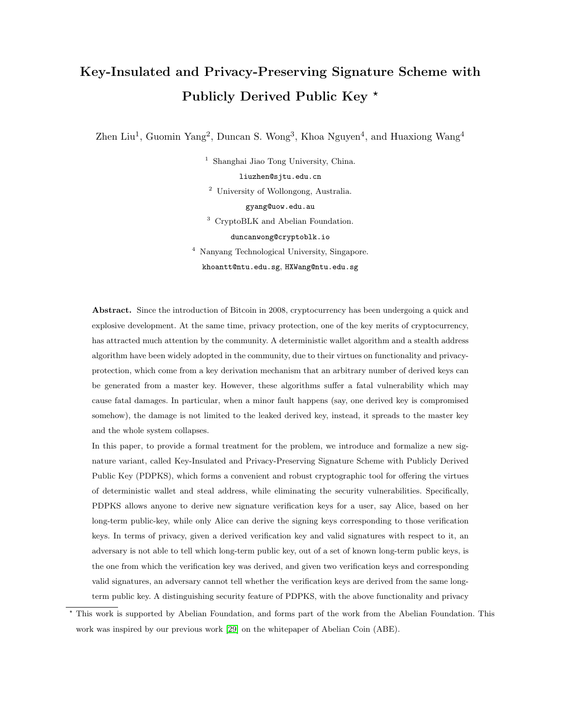# Key-Insulated and Privacy-Preserving Signature Scheme with Publicly Derived Public Key<sup>\*</sup>

Zhen Liu<sup>1</sup>, Guomin Yang<sup>2</sup>, Duncan S. Wong<sup>3</sup>, Khoa Nguyen<sup>4</sup>, and Huaxiong Wang<sup>4</sup>

<sup>1</sup> Shanghai Jiao Tong University, China.

liuzhen@sjtu.edu.cn

<sup>2</sup> University of Wollongong, Australia.

gyang@uow.edu.au

<sup>3</sup> CryptoBLK and Abelian Foundation.

duncanwong@cryptoblk.io

<sup>4</sup> Nanyang Technological University, Singapore. khoantt@ntu.edu.sg, HXWang@ntu.edu.sg

Abstract. Since the introduction of Bitcoin in 2008, cryptocurrency has been undergoing a quick and explosive development. At the same time, privacy protection, one of the key merits of cryptocurrency, has attracted much attention by the community. A deterministic wallet algorithm and a stealth address algorithm have been widely adopted in the community, due to their virtues on functionality and privacyprotection, which come from a key derivation mechanism that an arbitrary number of derived keys can be generated from a master key. However, these algorithms suffer a fatal vulnerability which may cause fatal damages. In particular, when a minor fault happens (say, one derived key is compromised somehow), the damage is not limited to the leaked derived key, instead, it spreads to the master key and the whole system collapses.

In this paper, to provide a formal treatment for the problem, we introduce and formalize a new signature variant, called Key-Insulated and Privacy-Preserving Signature Scheme with Publicly Derived Public Key (PDPKS), which forms a convenient and robust cryptographic tool for offering the virtues of deterministic wallet and steal address, while eliminating the security vulnerabilities. Specifically, PDPKS allows anyone to derive new signature verification keys for a user, say Alice, based on her long-term public-key, while only Alice can derive the signing keys corresponding to those verification keys. In terms of privacy, given a derived verification key and valid signatures with respect to it, an adversary is not able to tell which long-term public key, out of a set of known long-term public keys, is the one from which the verification key was derived, and given two verification keys and corresponding valid signatures, an adversary cannot tell whether the verification keys are derived from the same longterm public key. A distinguishing security feature of PDPKS, with the above functionality and privacy

<sup>?</sup> This work is supported by Abelian Foundation, and forms part of the work from the Abelian Foundation. This work was inspired by our previous work [\[29\]](#page-41-0) on the whitepaper of Abelian Coin (ABE).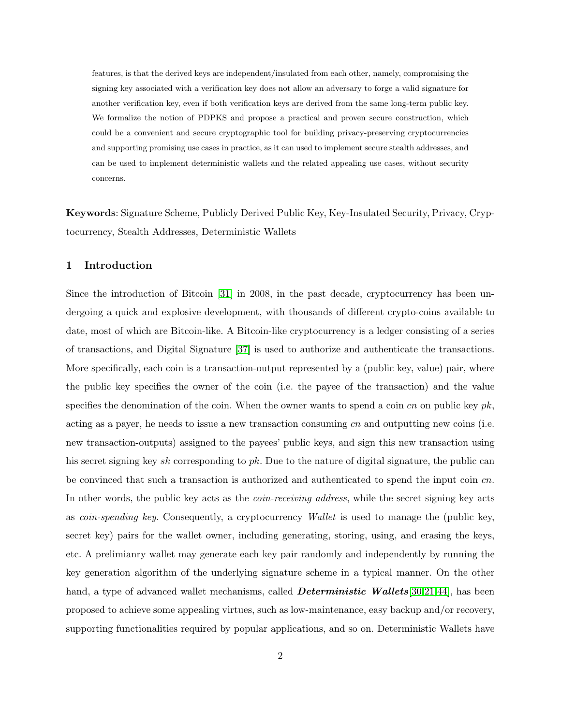features, is that the derived keys are independent/insulated from each other, namely, compromising the signing key associated with a verification key does not allow an adversary to forge a valid signature for another verification key, even if both verification keys are derived from the same long-term public key. We formalize the notion of PDPKS and propose a practical and proven secure construction, which could be a convenient and secure cryptographic tool for building privacy-preserving cryptocurrencies and supporting promising use cases in practice, as it can used to implement secure stealth addresses, and can be used to implement deterministic wallets and the related appealing use cases, without security concerns.

Keywords: Signature Scheme, Publicly Derived Public Key, Key-Insulated Security, Privacy, Cryptocurrency, Stealth Addresses, Deterministic Wallets

## <span id="page-1-0"></span>1 Introduction

Since the introduction of Bitcoin [\[31\]](#page-41-1) in 2008, in the past decade, cryptocurrency has been undergoing a quick and explosive development, with thousands of different crypto-coins available to date, most of which are Bitcoin-like. A Bitcoin-like cryptocurrency is a ledger consisting of a series of transactions, and Digital Signature [\[37\]](#page-41-2) is used to authorize and authenticate the transactions. More specifically, each coin is a transaction-output represented by a (public key, value) pair, where the public key specifies the owner of the coin (i.e. the payee of the transaction) and the value specifies the denomination of the coin. When the owner wants to spend a coin cn on public key  $pk$ , acting as a payer, he needs to issue a new transaction consuming  $cn$  and outputting new coins (i.e. new transaction-outputs) assigned to the payees' public keys, and sign this new transaction using his secret signing key sk corresponding to pk. Due to the nature of digital signature, the public can be convinced that such a transaction is authorized and authenticated to spend the input coin  $cn$ . In other words, the public key acts as the *coin-receiving address*, while the secret signing key acts as coin-spending key. Consequently, a cryptocurrency Wallet is used to manage the (public key, secret key) pairs for the wallet owner, including generating, storing, using, and erasing the keys, etc. A prelimianry wallet may generate each key pair randomly and independently by running the key generation algorithm of the underlying signature scheme in a typical manner. On the other hand, a type of advanced wallet mechanisms, called **Deterministic Wallets**[\[30](#page-41-3)[,21](#page-40-0)[,44\]](#page-41-4), has been proposed to achieve some appealing virtues, such as low-maintenance, easy backup and/or recovery, supporting functionalities required by popular applications, and so on. Deterministic Wallets have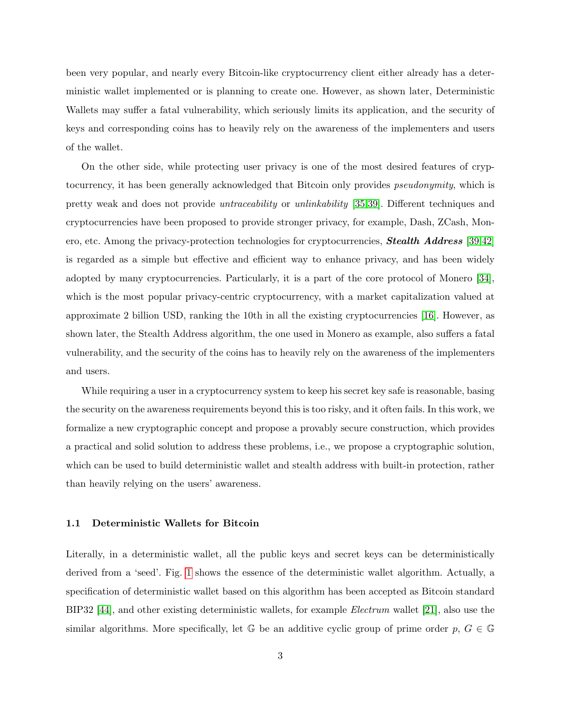been very popular, and nearly every Bitcoin-like cryptocurrency client either already has a deterministic wallet implemented or is planning to create one. However, as shown later, Deterministic Wallets may suffer a fatal vulnerability, which seriously limits its application, and the security of keys and corresponding coins has to heavily rely on the awareness of the implementers and users of the wallet.

On the other side, while protecting user privacy is one of the most desired features of cryptocurrency, it has been generally acknowledged that Bitcoin only provides *pseudonymity*, which is pretty weak and does not provide untraceability or unlinkability [\[35,](#page-41-5)[39\]](#page-41-6). Different techniques and cryptocurrencies have been proposed to provide stronger privacy, for example, Dash, ZCash, Monero, etc. Among the privacy-protection technologies for cryptocurrencies, **Stealth Address** [\[39](#page-41-6)[,42\]](#page-41-7) is regarded as a simple but effective and efficient way to enhance privacy, and has been widely adopted by many cryptocurrencies. Particularly, it is a part of the core protocol of Monero [\[34\]](#page-41-8), which is the most popular privacy-centric cryptocurrency, with a market capitalization valued at approximate 2 billion USD, ranking the 10th in all the existing cryptocurrencies [\[16\]](#page-40-1). However, as shown later, the Stealth Address algorithm, the one used in Monero as example, also suffers a fatal vulnerability, and the security of the coins has to heavily rely on the awareness of the implementers and users.

While requiring a user in a cryptocurrency system to keep his secret key safe is reasonable, basing the security on the awareness requirements beyond this is too risky, and it often fails. In this work, we formalize a new cryptographic concept and propose a provably secure construction, which provides a practical and solid solution to address these problems, i.e., we propose a cryptographic solution, which can be used to build deterministic wallet and stealth address with built-in protection, rather than heavily relying on the users' awareness.

## <span id="page-2-0"></span>1.1 Deterministic Wallets for Bitcoin

Literally, in a deterministic wallet, all the public keys and secret keys can be deterministically derived from a 'seed'. Fig. [1](#page-3-0) shows the essence of the deterministic wallet algorithm. Actually, a specification of deterministic wallet based on this algorithm has been accepted as Bitcoin standard BIP32 [\[44\]](#page-41-4), and other existing deterministic wallets, for example Electrum wallet [\[21\]](#page-40-0), also use the similar algorithms. More specifically, let  $\mathbb G$  be an additive cyclic group of prime order  $p, G \in \mathbb G$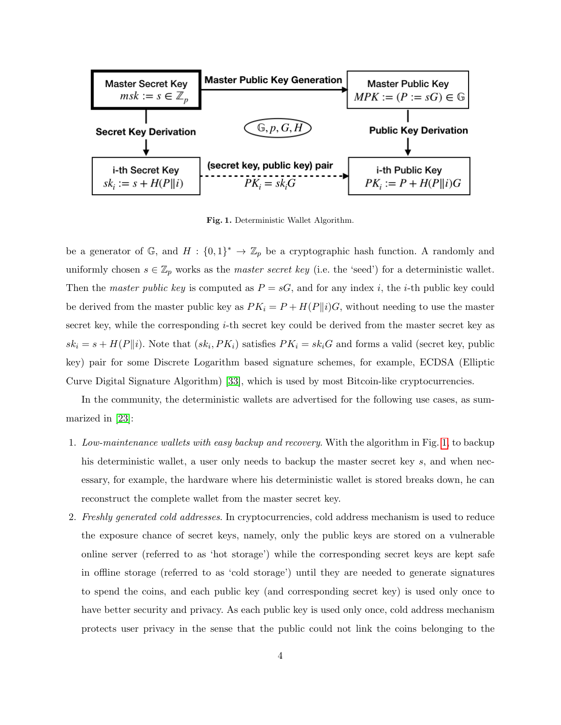

<span id="page-3-0"></span>Fig. 1. Deterministic Wallet Algorithm.

be a generator of  $\mathbb{G}$ , and  $H: \{0,1\}^* \to \mathbb{Z}_p$  be a cryptographic hash function. A randomly and uniformly chosen  $s \in \mathbb{Z}_p$  works as the *master secret key* (i.e. the 'seed') for a deterministic wallet. Then the master public key is computed as  $P = sG$ , and for any index i, the i-th public key could be derived from the master public key as  $PK_i = P + H(P||i)G$ , without needing to use the master secret key, while the corresponding  $i$ -th secret key could be derived from the master secret key as  $sk_i = s + H(P||i)$ . Note that  $(sk_i, PK_i)$  satisfies  $PK_i = sk_iG$  and forms a valid (secret key, public key) pair for some Discrete Logarithm based signature schemes, for example, ECDSA (Elliptic Curve Digital Signature Algorithm) [\[33\]](#page-41-9), which is used by most Bitcoin-like cryptocurrencies.

In the community, the deterministic wallets are advertised for the following use cases, as summarized in [\[23\]](#page-40-2):

- 1. Low-maintenance wallets with easy backup and recovery. With the algorithm in Fig. [1,](#page-3-0) to backup his deterministic wallet, a user only needs to backup the master secret key s, and when necessary, for example, the hardware where his deterministic wallet is stored breaks down, he can reconstruct the complete wallet from the master secret key.
- 2. Freshly generated cold addresses. In cryptocurrencies, cold address mechanism is used to reduce the exposure chance of secret keys, namely, only the public keys are stored on a vulnerable online server (referred to as 'hot storage') while the corresponding secret keys are kept safe in offline storage (referred to as 'cold storage') until they are needed to generate signatures to spend the coins, and each public key (and corresponding secret key) is used only once to have better security and privacy. As each public key is used only once, cold address mechanism protects user privacy in the sense that the public could not link the coins belonging to the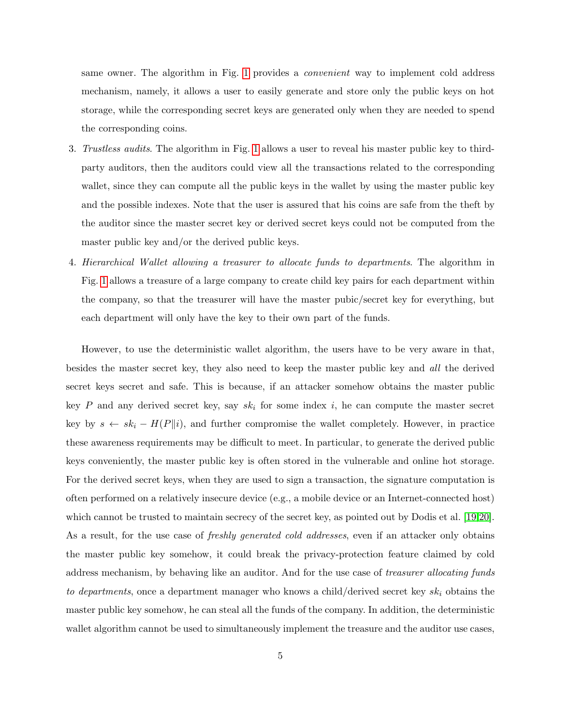same owner. The algorithm in Fig. [1](#page-3-0) provides a convenient way to implement cold address mechanism, namely, it allows a user to easily generate and store only the public keys on hot storage, while the corresponding secret keys are generated only when they are needed to spend the corresponding coins.

- 3. Trustless audits. The algorithm in Fig. [1](#page-3-0) allows a user to reveal his master public key to thirdparty auditors, then the auditors could view all the transactions related to the corresponding wallet, since they can compute all the public keys in the wallet by using the master public key and the possible indexes. Note that the user is assured that his coins are safe from the theft by the auditor since the master secret key or derived secret keys could not be computed from the master public key and/or the derived public keys.
- 4. Hierarchical Wallet allowing a treasurer to allocate funds to departments. The algorithm in Fig. [1](#page-3-0) allows a treasure of a large company to create child key pairs for each department within the company, so that the treasurer will have the master pubic/secret key for everything, but each department will only have the key to their own part of the funds.

However, to use the deterministic wallet algorithm, the users have to be very aware in that, besides the master secret key, they also need to keep the master public key and all the derived secret keys secret and safe. This is because, if an attacker somehow obtains the master public key P and any derived secret key, say  $sk_i$  for some index i, he can compute the master secret key by  $s \leftarrow sk_i - H(P||i)$ , and further compromise the wallet completely. However, in practice these awareness requirements may be difficult to meet. In particular, to generate the derived public keys conveniently, the master public key is often stored in the vulnerable and online hot storage. For the derived secret keys, when they are used to sign a transaction, the signature computation is often performed on a relatively insecure device (e.g., a mobile device or an Internet-connected host) which cannot be trusted to maintain secrecy of the secret key, as pointed out by Dodis et al. [\[19,](#page-40-3)[20\]](#page-40-4). As a result, for the use case of *freshly generated cold addresses*, even if an attacker only obtains the master public key somehow, it could break the privacy-protection feature claimed by cold address mechanism, by behaving like an auditor. And for the use case of treasurer allocating funds to departments, once a department manager who knows a child/derived secret key  $sk_i$  obtains the master public key somehow, he can steal all the funds of the company. In addition, the deterministic wallet algorithm cannot be used to simultaneously implement the treasure and the auditor use cases,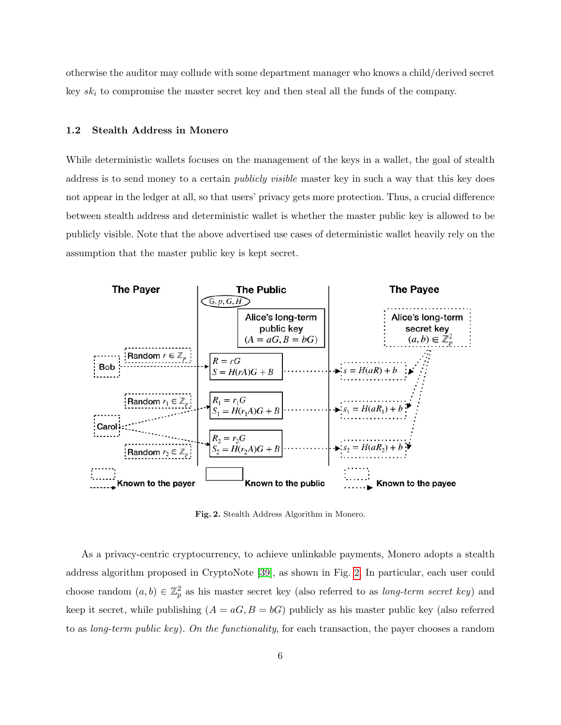otherwise the auditor may collude with some department manager who knows a child/derived secret key  $sk_i$  to compromise the master secret key and then steal all the funds of the company.

#### <span id="page-5-1"></span>1.2 Stealth Address in Monero

While deterministic wallets focuses on the management of the keys in a wallet, the goal of stealth address is to send money to a certain *publicly visible* master key in such a way that this key does not appear in the ledger at all, so that users' privacy gets more protection. Thus, a crucial difference between stealth address and deterministic wallet is whether the master public key is allowed to be publicly visible. Note that the above advertised use cases of deterministic wallet heavily rely on the assumption that the master public key is kept secret.



<span id="page-5-0"></span>Fig. 2. Stealth Address Algorithm in Monero.

As a privacy-centric cryptocurrency, to achieve unlinkable payments, Monero adopts a stealth address algorithm proposed in CryptoNote [\[39\]](#page-41-6), as shown in Fig. [2.](#page-5-0) In particular, each user could choose random  $(a, b) \in \mathbb{Z}_p^2$  as his master secret key (also referred to as *long-term secret key*) and keep it secret, while publishing  $(A = aG, B = bG)$  publicly as his master public key (also referred to as long-term public key). On the functionality, for each transaction, the payer chooses a random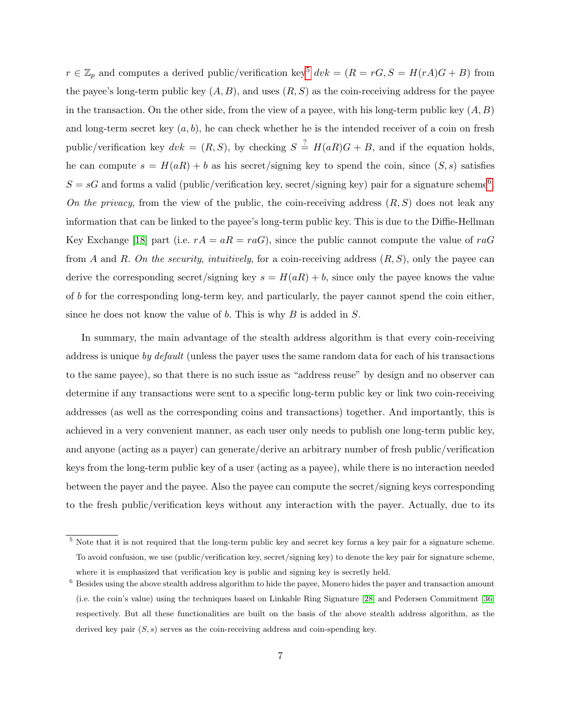$r \in \mathbb{Z}_p$  and computes a derived public/verification key<sup>[5](#page-6-0)</sup>  $dvk = (R = rG, S = H(rA)G + B)$  from the payee's long-term public key  $(A, B)$ , and uses  $(R, S)$  as the coin-receiving address for the payee in the transaction. On the other side, from the view of a payee, with his long-term public key  $(A, B)$ and long-term secret key  $(a, b)$ , he can check whether he is the intended receiver of a coin on fresh public/verification key  $dvk = (R, S)$ , by checking  $S \stackrel{?}{=} H(aR)G + B$ , and if the equation holds, he can compute  $s = H(aR) + b$  as his secret/signing key to spend the coin, since  $(S, s)$  satisfies  $S = sG$  and forms a valid (public/verification key, secret/signing key) pair for a signature scheme<sup>[6](#page-6-1)</sup>. On the privacy, from the view of the public, the coin-receiving address  $(R, S)$  does not leak any information that can be linked to the payee's long-term public key. This is due to the Diffie-Hellman Key Exchange [\[18\]](#page-40-5) part (i.e.  $rA = aR = raG$ ), since the public cannot compute the value of  $raG$ from A and R. On the security, intuitively, for a coin-receiving address  $(R, S)$ , only the payee can derive the corresponding secret/signing key  $s = H(aR) + b$ , since only the payee knows the value of b for the corresponding long-term key, and particularly, the payer cannot spend the coin either, since he does not know the value of  $b$ . This is why  $B$  is added in  $S$ .

In summary, the main advantage of the stealth address algorithm is that every coin-receiving address is unique by default (unless the payer uses the same random data for each of his transactions to the same payee), so that there is no such issue as "address reuse" by design and no observer can determine if any transactions were sent to a specific long-term public key or link two coin-receiving addresses (as well as the corresponding coins and transactions) together. And importantly, this is achieved in a very convenient manner, as each user only needs to publish one long-term public key, and anyone (acting as a payer) can generate/derive an arbitrary number of fresh public/verification keys from the long-term public key of a user (acting as a payee), while there is no interaction needed between the payer and the payee. Also the payee can compute the secret/signing keys corresponding to the fresh public/verification keys without any interaction with the payer. Actually, due to its

<span id="page-6-0"></span><sup>&</sup>lt;sup>5</sup> Note that it is not required that the long-term public key and secret key forms a key pair for a signature scheme. To avoid confusion, we use (public/verification key, secret/signing key) to denote the key pair for signature scheme, where it is emphasized that verification key is public and signing key is secretly held.

<span id="page-6-1"></span><sup>6</sup> Besides using the above stealth address algorithm to hide the payee, Monero hides the payer and transaction amount (i.e. the coin's value) using the techniques based on Linkable Ring Signature [\[28\]](#page-40-6) and Pedersen Commitment [\[36\]](#page-41-10) respectively. But all these functionalities are built on the basis of the above stealth address algorithm, as the derived key pair  $(S, s)$  serves as the coin-receiving address and coin-spending key.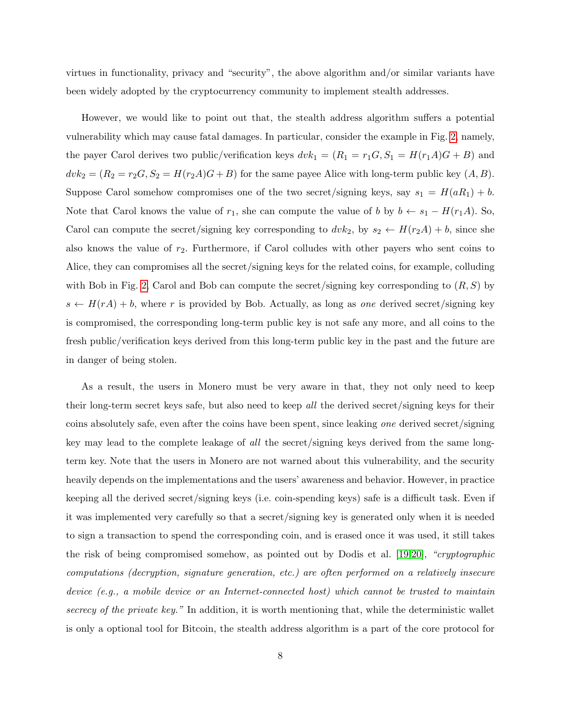virtues in functionality, privacy and "security", the above algorithm and/or similar variants have been widely adopted by the cryptocurrency community to implement stealth addresses.

However, we would like to point out that, the stealth address algorithm suffers a potential vulnerability which may cause fatal damages. In particular, consider the example in Fig. [2,](#page-5-0) namely, the payer Carol derives two public/verification keys  $dvk_1 = (R_1 = r_1G, S_1 = H(r_1A)G + B)$  and  $dvk_2 = (R_2 = r_2G, S_2 = H(r_2A)G + B)$  for the same payee Alice with long-term public key  $(A, B)$ . Suppose Carol somehow compromises one of the two secret/signing keys, say  $s_1 = H(aR_1) + b$ . Note that Carol knows the value of  $r_1$ , she can compute the value of b by  $b \leftarrow s_1 - H(r_1A)$ . So, Carol can compute the secret/signing key corresponding to  $dv k_2$ , by  $s_2 \leftarrow H(r_2A) + b$ , since she also knows the value of  $r_2$ . Furthermore, if Carol colludes with other payers who sent coins to Alice, they can compromises all the secret/signing keys for the related coins, for example, colluding with Bob in Fig. [2,](#page-5-0) Carol and Bob can compute the secret/signing key corresponding to  $(R, S)$  by  $s \leftarrow H(rA) + b$ , where r is provided by Bob. Actually, as long as one derived secret/signing key is compromised, the corresponding long-term public key is not safe any more, and all coins to the fresh public/verification keys derived from this long-term public key in the past and the future are in danger of being stolen.

As a result, the users in Monero must be very aware in that, they not only need to keep their long-term secret keys safe, but also need to keep all the derived secret/signing keys for their coins absolutely safe, even after the coins have been spent, since leaking one derived secret/signing key may lead to the complete leakage of all the secret/signing keys derived from the same longterm key. Note that the users in Monero are not warned about this vulnerability, and the security heavily depends on the implementations and the users' awareness and behavior. However, in practice keeping all the derived secret/signing keys (i.e. coin-spending keys) safe is a difficult task. Even if it was implemented very carefully so that a secret/signing key is generated only when it is needed to sign a transaction to spend the corresponding coin, and is erased once it was used, it still takes the risk of being compromised somehow, as pointed out by Dodis et al. [\[19,](#page-40-3)[20\]](#page-40-4), "cryptographic computations (decryption, signature generation, etc.) are often performed on a relatively insecure device (e.g., a mobile device or an Internet-connected host) which cannot be trusted to maintain secrecy of the private key." In addition, it is worth mentioning that, while the deterministic wallet is only a optional tool for Bitcoin, the stealth address algorithm is a part of the core protocol for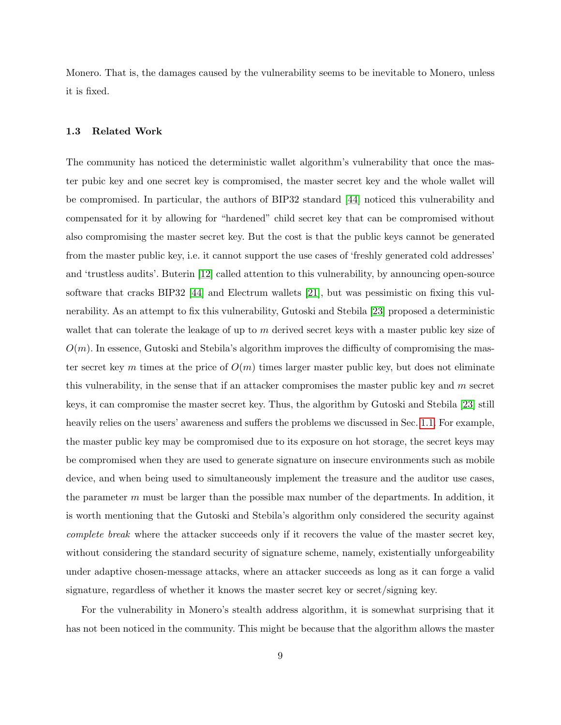Monero. That is, the damages caused by the vulnerability seems to be inevitable to Monero, unless it is fixed.

## 1.3 Related Work

The community has noticed the deterministic wallet algorithm's vulnerability that once the master pubic key and one secret key is compromised, the master secret key and the whole wallet will be compromised. In particular, the authors of BIP32 standard [\[44\]](#page-41-4) noticed this vulnerability and compensated for it by allowing for "hardened" child secret key that can be compromised without also compromising the master secret key. But the cost is that the public keys cannot be generated from the master public key, i.e. it cannot support the use cases of 'freshly generated cold addresses' and 'trustless audits'. Buterin [\[12\]](#page-40-7) called attention to this vulnerability, by announcing open-source software that cracks BIP32 [\[44\]](#page-41-4) and Electrum wallets [\[21\]](#page-40-0), but was pessimistic on fixing this vulnerability. As an attempt to fix this vulnerability, Gutoski and Stebila [\[23\]](#page-40-2) proposed a deterministic wallet that can tolerate the leakage of up to m derived secret keys with a master public key size of  $O(m)$ . In essence, Gutoski and Stebila's algorithm improves the difficulty of compromising the master secret key m times at the price of  $O(m)$  times larger master public key, but does not eliminate this vulnerability, in the sense that if an attacker compromises the master public key and  $m$  secret keys, it can compromise the master secret key. Thus, the algorithm by Gutoski and Stebila [\[23\]](#page-40-2) still heavily relies on the users' awareness and suffers the problems we discussed in Sec. [1.1.](#page-2-0) For example, the master public key may be compromised due to its exposure on hot storage, the secret keys may be compromised when they are used to generate signature on insecure environments such as mobile device, and when being used to simultaneously implement the treasure and the auditor use cases, the parameter  $m$  must be larger than the possible max number of the departments. In addition, it is worth mentioning that the Gutoski and Stebila's algorithm only considered the security against complete break where the attacker succeeds only if it recovers the value of the master secret key, without considering the standard security of signature scheme, namely, existentially unforgeability under adaptive chosen-message attacks, where an attacker succeeds as long as it can forge a valid signature, regardless of whether it knows the master secret key or secret/signing key.

For the vulnerability in Monero's stealth address algorithm, it is somewhat surprising that it has not been noticed in the community. This might be because that the algorithm allows the master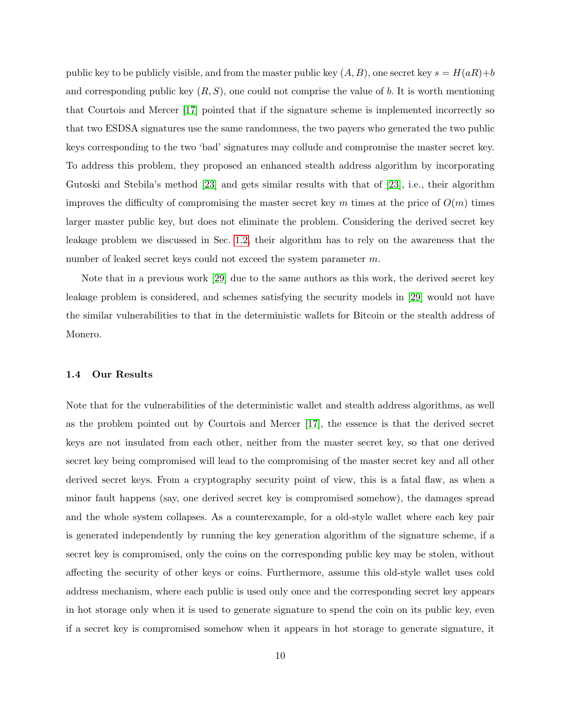public key to be publicly visible, and from the master public key  $(A, B)$ , one secret key  $s = H(aR) + b$ and corresponding public key  $(R, S)$ , one could not comprise the value of b. It is worth mentioning that Courtois and Mercer [\[17\]](#page-40-8) pointed that if the signature scheme is implemented incorrectly so that two ESDSA signatures use the same randomness, the two payers who generated the two public keys corresponding to the two 'bad' signatures may collude and compromise the master secret key. To address this problem, they proposed an enhanced stealth address algorithm by incorporating Gutoski and Stebila's method [\[23\]](#page-40-2) and gets similar results with that of [\[23\]](#page-40-2), i.e., their algorithm improves the difficulty of compromising the master secret key m times at the price of  $O(m)$  times larger master public key, but does not eliminate the problem. Considering the derived secret key leakage problem we discussed in Sec. [1.2,](#page-5-1) their algorithm has to rely on the awareness that the number of leaked secret keys could not exceed the system parameter m.

Note that in a previous work [\[29\]](#page-41-0) due to the same authors as this work, the derived secret key leakage problem is considered, and schemes satisfying the security models in [\[29\]](#page-41-0) would not have the similar vulnerabilities to that in the deterministic wallets for Bitcoin or the stealth address of Monero.

#### 1.4 Our Results

Note that for the vulnerabilities of the deterministic wallet and stealth address algorithms, as well as the problem pointed out by Courtois and Mercer [\[17\]](#page-40-8), the essence is that the derived secret keys are not insulated from each other, neither from the master secret key, so that one derived secret key being compromised will lead to the compromising of the master secret key and all other derived secret keys. From a cryptography security point of view, this is a fatal flaw, as when a minor fault happens (say, one derived secret key is compromised somehow), the damages spread and the whole system collapses. As a counterexample, for a old-style wallet where each key pair is generated independently by running the key generation algorithm of the signature scheme, if a secret key is compromised, only the coins on the corresponding public key may be stolen, without affecting the security of other keys or coins. Furthermore, assume this old-style wallet uses cold address mechanism, where each public is used only once and the corresponding secret key appears in hot storage only when it is used to generate signature to spend the coin on its public key, even if a secret key is compromised somehow when it appears in hot storage to generate signature, it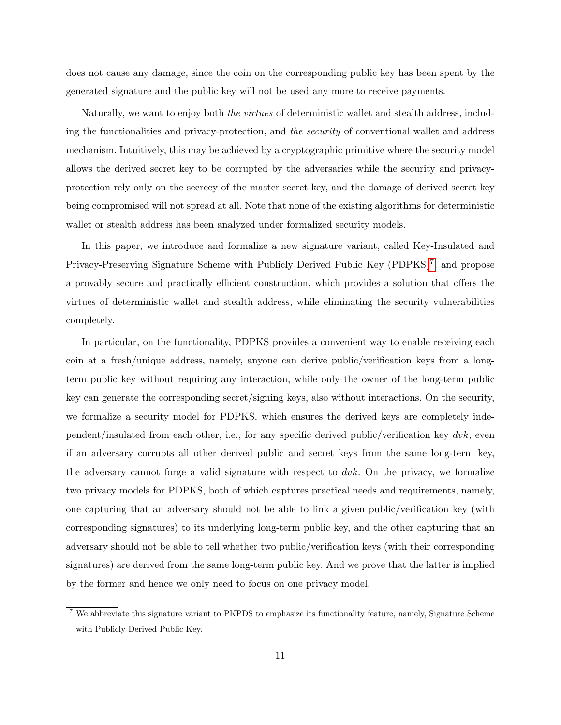does not cause any damage, since the coin on the corresponding public key has been spent by the generated signature and the public key will not be used any more to receive payments.

Naturally, we want to enjoy both the virtues of deterministic wallet and stealth address, including the functionalities and privacy-protection, and the security of conventional wallet and address mechanism. Intuitively, this may be achieved by a cryptographic primitive where the security model allows the derived secret key to be corrupted by the adversaries while the security and privacyprotection rely only on the secrecy of the master secret key, and the damage of derived secret key being compromised will not spread at all. Note that none of the existing algorithms for deterministic wallet or stealth address has been analyzed under formalized security models.

In this paper, we introduce and formalize a new signature variant, called Key-Insulated and Privacy-Preserving Signature Scheme with Publicly Derived Public Key (PDPKS)<sup>[7](#page-10-0)</sup>, and propose a provably secure and practically efficient construction, which provides a solution that offers the virtues of deterministic wallet and stealth address, while eliminating the security vulnerabilities completely.

In particular, on the functionality, PDPKS provides a convenient way to enable receiving each coin at a fresh/unique address, namely, anyone can derive public/verification keys from a longterm public key without requiring any interaction, while only the owner of the long-term public key can generate the corresponding secret/signing keys, also without interactions. On the security, we formalize a security model for PDPKS, which ensures the derived keys are completely independent/insulated from each other, i.e., for any specific derived public/verification key  $dvk$ , even if an adversary corrupts all other derived public and secret keys from the same long-term key, the adversary cannot forge a valid signature with respect to  $dvk$ . On the privacy, we formalize two privacy models for PDPKS, both of which captures practical needs and requirements, namely, one capturing that an adversary should not be able to link a given public/verification key (with corresponding signatures) to its underlying long-term public key, and the other capturing that an adversary should not be able to tell whether two public/verification keys (with their corresponding signatures) are derived from the same long-term public key. And we prove that the latter is implied by the former and hence we only need to focus on one privacy model.

<span id="page-10-0"></span><sup>7</sup> We abbreviate this signature variant to PKPDS to emphasize its functionality feature, namely, Signature Scheme with Publicly Derived Public Key.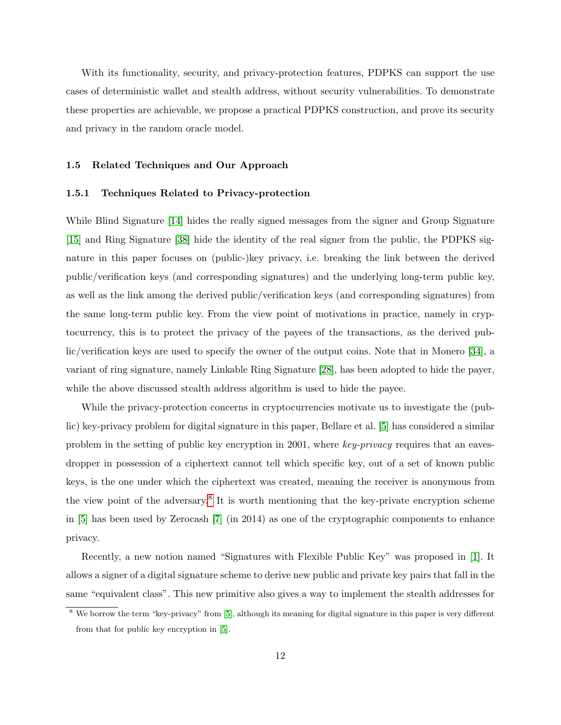With its functionality, security, and privacy-protection features, PDPKS can support the use cases of deterministic wallet and stealth address, without security vulnerabilities. To demonstrate these properties are achievable, we propose a practical PDPKS construction, and prove its security and privacy in the random oracle model.

#### 1.5 Related Techniques and Our Approach

#### 1.5.1 Techniques Related to Privacy-protection

While Blind Signature [\[14\]](#page-40-9) hides the really signed messages from the signer and Group Signature [\[15\]](#page-40-10) and Ring Signature [\[38\]](#page-41-11) hide the identity of the real signer from the public, the PDPKS signature in this paper focuses on (public-)key privacy, i.e. breaking the link between the derived public/verification keys (and corresponding signatures) and the underlying long-term public key, as well as the link among the derived public/verification keys (and corresponding signatures) from the same long-term public key. From the view point of motivations in practice, namely in cryptocurrency, this is to protect the privacy of the payees of the transactions, as the derived public/verification keys are used to specify the owner of the output coins. Note that in Monero [\[34\]](#page-41-8), a variant of ring signature, namely Linkable Ring Signature [\[28\]](#page-40-6), has been adopted to hide the payer, while the above discussed stealth address algorithm is used to hide the payee.

While the privacy-protection concerns in cryptocurrencies motivate us to investigate the (public) key-privacy problem for digital signature in this paper, Bellare et al. [\[5\]](#page-39-0) has considered a similar problem in the setting of public key encryption in 2001, where key-privacy requires that an eavesdropper in possession of a ciphertext cannot tell which specific key, out of a set of known public keys, is the one under which the ciphertext was created, meaning the receiver is anonymous from the view point of the adversary.<sup>[8](#page-11-0)</sup> It is worth mentioning that the key-private encryption scheme in [\[5\]](#page-39-0) has been used by Zerocash [\[7\]](#page-40-11) (in 2014) as one of the cryptographic components to enhance privacy.

Recently, a new notion named "Signatures with Flexible Public Key" was proposed in [\[1\]](#page-39-1). It allows a signer of a digital signature scheme to derive new public and private key pairs that fall in the same "equivalent class". This new primitive also gives a way to implement the stealth addresses for

<span id="page-11-0"></span><sup>&</sup>lt;sup>8</sup> We borrow the term "key-privacy" from [\[5\]](#page-39-0), although its meaning for digital signature in this paper is very different from that for public key encryption in [\[5\]](#page-39-0).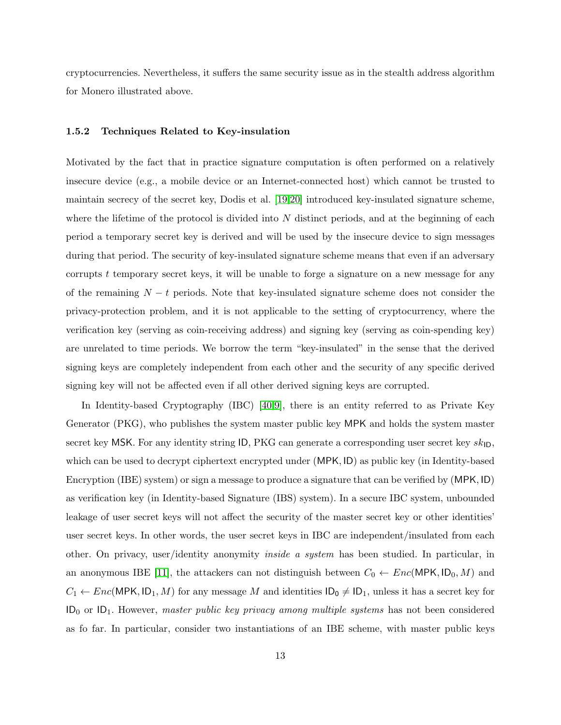cryptocurrencies. Nevertheless, it suffers the same security issue as in the stealth address algorithm for Monero illustrated above.

#### <span id="page-12-0"></span>1.5.2 Techniques Related to Key-insulation

Motivated by the fact that in practice signature computation is often performed on a relatively insecure device (e.g., a mobile device or an Internet-connected host) which cannot be trusted to maintain secrecy of the secret key, Dodis et al. [\[19,](#page-40-3)[20\]](#page-40-4) introduced key-insulated signature scheme, where the lifetime of the protocol is divided into  $N$  distinct periods, and at the beginning of each period a temporary secret key is derived and will be used by the insecure device to sign messages during that period. The security of key-insulated signature scheme means that even if an adversary corrupts t temporary secret keys, it will be unable to forge a signature on a new message for any of the remaining  $N - t$  periods. Note that key-insulated signature scheme does not consider the privacy-protection problem, and it is not applicable to the setting of cryptocurrency, where the verification key (serving as coin-receiving address) and signing key (serving as coin-spending key) are unrelated to time periods. We borrow the term "key-insulated" in the sense that the derived signing keys are completely independent from each other and the security of any specific derived signing key will not be affected even if all other derived signing keys are corrupted.

In Identity-based Cryptography (IBC) [\[40,](#page-41-12)[9\]](#page-40-12), there is an entity referred to as Private Key Generator (PKG), who publishes the system master public key MPK and holds the system master secret key MSK. For any identity string ID, PKG can generate a corresponding user secret key  $sk_{\text{ID}}$ , which can be used to decrypt ciphertext encrypted under (MPK, ID) as public key (in Identity-based Encryption (IBE) system) or sign a message to produce a signature that can be verified by (MPK, ID) as verification key (in Identity-based Signature (IBS) system). In a secure IBC system, unbounded leakage of user secret keys will not affect the security of the master secret key or other identities' user secret keys. In other words, the user secret keys in IBC are independent/insulated from each other. On privacy, user/identity anonymity inside a system has been studied. In particular, in an anonymous IBE [\[11\]](#page-40-13), the attackers can not distinguish between  $C_0 \leftarrow Enc(MPK, ID_0, M)$  and  $C_1 \leftarrow Enc(MPK, ID_1, M)$  for any message M and identities  $ID_0 \neq ID_1$ , unless it has a secret key for  $ID_0$  or  $ID_1$ . However, master public key privacy among multiple systems has not been considered as fo far. In particular, consider two instantiations of an IBE scheme, with master public keys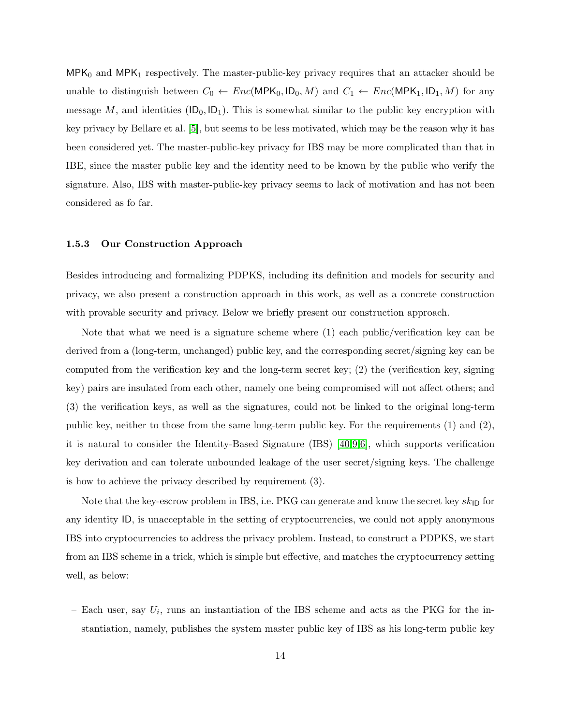$MPK_0$  and  $MPK_1$  respectively. The master-public-key privacy requires that an attacker should be unable to distinguish between  $C_0 \leftarrow Enc(MPK_0, ID_0, M)$  and  $C_1 \leftarrow Enc(MPK_1, ID_1, M)$  for any message M, and identities  $(ID_0, ID_1)$ . This is somewhat similar to the public key encryption with key privacy by Bellare et al. [\[5\]](#page-39-0), but seems to be less motivated, which may be the reason why it has been considered yet. The master-public-key privacy for IBS may be more complicated than that in IBE, since the master public key and the identity need to be known by the public who verify the signature. Also, IBS with master-public-key privacy seems to lack of motivation and has not been considered as fo far.

#### 1.5.3 Our Construction Approach

Besides introducing and formalizing PDPKS, including its definition and models for security and privacy, we also present a construction approach in this work, as well as a concrete construction with provable security and privacy. Below we briefly present our construction approach.

Note that what we need is a signature scheme where (1) each public/verification key can be derived from a (long-term, unchanged) public key, and the corresponding secret/signing key can be computed from the verification key and the long-term secret key; (2) the (verification key, signing key) pairs are insulated from each other, namely one being compromised will not affect others; and (3) the verification keys, as well as the signatures, could not be linked to the original long-term public key, neither to those from the same long-term public key. For the requirements  $(1)$  and  $(2)$ , it is natural to consider the Identity-Based Signature (IBS) [\[40,](#page-41-12)[9,](#page-40-12)[6\]](#page-39-2), which supports verification key derivation and can tolerate unbounded leakage of the user secret/signing keys. The challenge is how to achieve the privacy described by requirement (3).

Note that the key-escrow problem in IBS, i.e. PKG can generate and know the secret key  $sk_{\text{ID}}$  for any identity ID, is unacceptable in the setting of cryptocurrencies, we could not apply anonymous IBS into cryptocurrencies to address the privacy problem. Instead, to construct a PDPKS, we start from an IBS scheme in a trick, which is simple but effective, and matches the cryptocurrency setting well, as below:

- Each user, say  $U_i$ , runs an instantiation of the IBS scheme and acts as the PKG for the instantiation, namely, publishes the system master public key of IBS as his long-term public key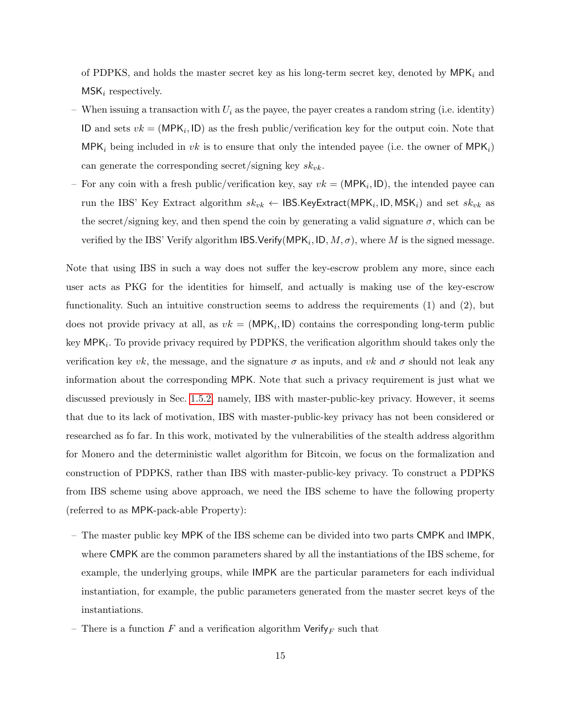of PDPKS, and holds the master secret key as his long-term secret key, denoted by  $MPK_i$  and  $MSK_i$  respectively.

- When issuing a transaction with  $U_i$  as the payee, the payer creates a random string (i.e. identity) ID and sets  $vk = (MPK_i, ID)$  as the fresh public/verification key for the output coin. Note that MPK<sub>i</sub> being included in vk is to ensure that only the intended payee (i.e. the owner of MPK<sub>i</sub>) can generate the corresponding secret/signing key  $sk_{vk}$ .
- For any coin with a fresh public/verification key, say  $vk = (MPK_i, ID)$ , the intended payee can run the IBS' Key Extract algorithm  $sk_{vk} \leftarrow$  IBS.KeyExtract(MPK $_i$ , ID, MSK $_i$ ) and set  $sk_{vk}$  as the secret/signing key, and then spend the coin by generating a valid signature  $\sigma$ , which can be verified by the IBS' Verify algorithm IBS.Verify(MPK<sub>i</sub>, ID,  $M, \sigma$ ), where  $M$  is the signed message.

Note that using IBS in such a way does not suffer the key-escrow problem any more, since each user acts as PKG for the identities for himself, and actually is making use of the key-escrow functionality. Such an intuitive construction seems to address the requirements (1) and (2), but does not provide privacy at all, as  $vk = (MPK_i, ID)$  contains the corresponding long-term public key  $\textsf{MPK}_i$ . To provide privacy required by PDPKS, the verification algorithm should takes only the verification key vk, the message, and the signature  $\sigma$  as inputs, and vk and  $\sigma$  should not leak any information about the corresponding MPK. Note that such a privacy requirement is just what we discussed previously in Sec. [1.5.2,](#page-12-0) namely, IBS with master-public-key privacy. However, it seems that due to its lack of motivation, IBS with master-public-key privacy has not been considered or researched as fo far. In this work, motivated by the vulnerabilities of the stealth address algorithm for Monero and the deterministic wallet algorithm for Bitcoin, we focus on the formalization and construction of PDPKS, rather than IBS with master-public-key privacy. To construct a PDPKS from IBS scheme using above approach, we need the IBS scheme to have the following property (referred to as MPK-pack-able Property):

- The master public key MPK of the IBS scheme can be divided into two parts CMPK and IMPK, where CMPK are the common parameters shared by all the instantiations of the IBS scheme, for example, the underlying groups, while IMPK are the particular parameters for each individual instantiation, for example, the public parameters generated from the master secret keys of the instantiations.
- There is a function F and a verification algorithm  $\mathsf{Verify}_F$  such that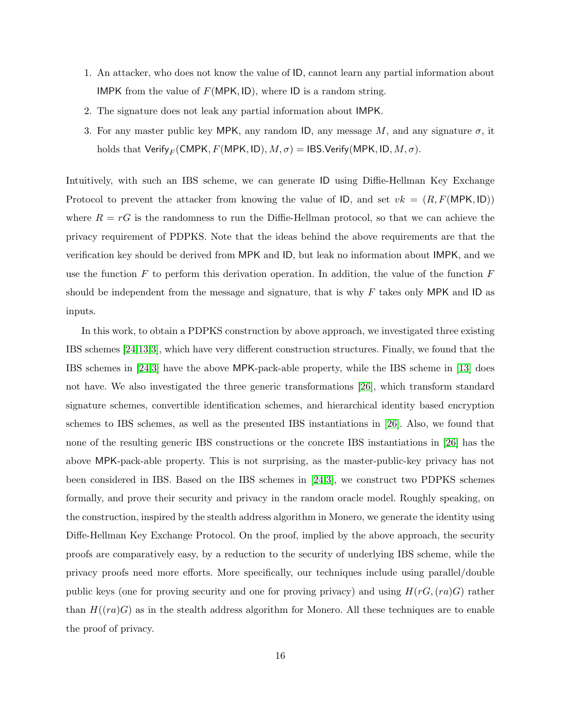- 1. An attacker, who does not know the value of ID, cannot learn any partial information about IMPK from the value of  $F(MPK, ID)$ , where ID is a random string.
- 2. The signature does not leak any partial information about IMPK.
- 3. For any master public key MPK, any random ID, any message  $M$ , and any signature  $\sigma$ , it holds that Verify<sub>F</sub> (CMPK, F (MPK, ID),  $M, \sigma$ ) = IBS.Verify (MPK, ID,  $M, \sigma$ ).

Intuitively, with such an IBS scheme, we can generate ID using Diffie-Hellman Key Exchange Protocol to prevent the attacker from knowing the value of ID, and set  $vk = (R, F(MPK, ID))$ where  $R = rG$  is the randomness to run the Diffie-Hellman protocol, so that we can achieve the privacy requirement of PDPKS. Note that the ideas behind the above requirements are that the verification key should be derived from MPK and ID, but leak no information about IMPK, and we use the function  $F$  to perform this derivation operation. In addition, the value of the function  $F$ should be independent from the message and signature, that is why  $F$  takes only MPK and ID as inputs.

In this work, to obtain a PDPKS construction by above approach, we investigated three existing IBS schemes [\[24](#page-40-14)[,13,](#page-40-15)[3\]](#page-39-3), which have very different construction structures. Finally, we found that the IBS schemes in [\[24,](#page-40-14)[3\]](#page-39-3) have the above MPK-pack-able property, while the IBS scheme in [\[13\]](#page-40-15) does not have. We also investigated the three generic transformations [\[26\]](#page-40-16), which transform standard signature schemes, convertible identification schemes, and hierarchical identity based encryption schemes to IBS schemes, as well as the presented IBS instantiations in [\[26\]](#page-40-16). Also, we found that none of the resulting generic IBS constructions or the concrete IBS instantiations in [\[26\]](#page-40-16) has the above MPK-pack-able property. This is not surprising, as the master-public-key privacy has not been considered in IBS. Based on the IBS schemes in [\[24,](#page-40-14)[3\]](#page-39-3), we construct two PDPKS schemes formally, and prove their security and privacy in the random oracle model. Roughly speaking, on the construction, inspired by the stealth address algorithm in Monero, we generate the identity using Diffe-Hellman Key Exchange Protocol. On the proof, implied by the above approach, the security proofs are comparatively easy, by a reduction to the security of underlying IBS scheme, while the privacy proofs need more efforts. More specifically, our techniques include using parallel/double public keys (one for proving security and one for proving privacy) and using  $H(rG,(ra)G)$  rather than  $H((ra)G)$  as in the stealth address algorithm for Monero. All these techniques are to enable the proof of privacy.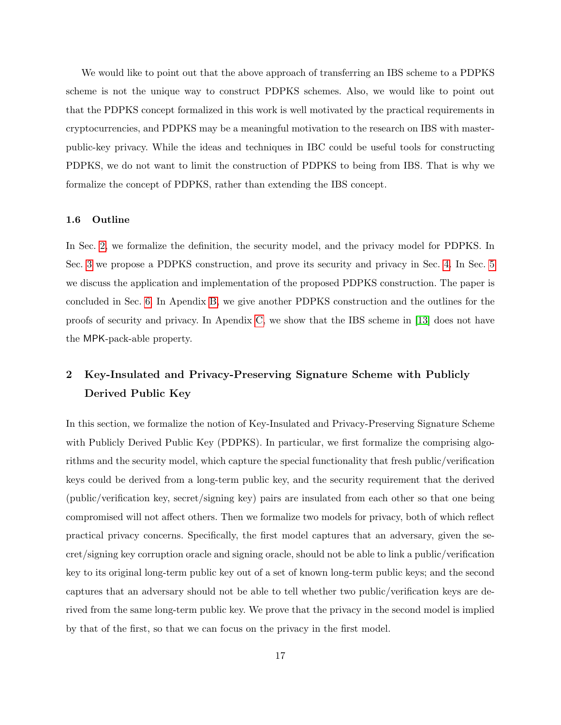We would like to point out that the above approach of transferring an IBS scheme to a PDPKS scheme is not the unique way to construct PDPKS schemes. Also, we would like to point out that the PDPKS concept formalized in this work is well motivated by the practical requirements in cryptocurrencies, and PDPKS may be a meaningful motivation to the research on IBS with masterpublic-key privacy. While the ideas and techniques in IBC could be useful tools for constructing PDPKS, we do not want to limit the construction of PDPKS to being from IBS. That is why we formalize the concept of PDPKS, rather than extending the IBS concept.

#### 1.6 Outline

In Sec. [2,](#page-16-0) we formalize the definition, the security model, and the privacy model for PDPKS. In Sec. [3](#page-23-0) we propose a PDPKS construction, and prove its security and privacy in Sec. [4.](#page-26-0) In Sec. [5](#page-36-0) we discuss the application and implementation of the proposed PDPKS construction. The paper is concluded in Sec. [6.](#page-39-4) In Apendix [B,](#page-43-0) we give another PDPKS construction and the outlines for the proofs of security and privacy. In Apendix [C,](#page-48-0) we show that the IBS scheme in [\[13\]](#page-40-15) does not have the MPK-pack-able property.

## <span id="page-16-0"></span>2 Key-Insulated and Privacy-Preserving Signature Scheme with Publicly Derived Public Key

In this section, we formalize the notion of Key-Insulated and Privacy-Preserving Signature Scheme with Publicly Derived Public Key (PDPKS). In particular, we first formalize the comprising algorithms and the security model, which capture the special functionality that fresh public/verification keys could be derived from a long-term public key, and the security requirement that the derived (public/verification key, secret/signing key) pairs are insulated from each other so that one being compromised will not affect others. Then we formalize two models for privacy, both of which reflect practical privacy concerns. Specifically, the first model captures that an adversary, given the secret/signing key corruption oracle and signing oracle, should not be able to link a public/verification key to its original long-term public key out of a set of known long-term public keys; and the second captures that an adversary should not be able to tell whether two public/verification keys are derived from the same long-term public key. We prove that the privacy in the second model is implied by that of the first, so that we can focus on the privacy in the first model.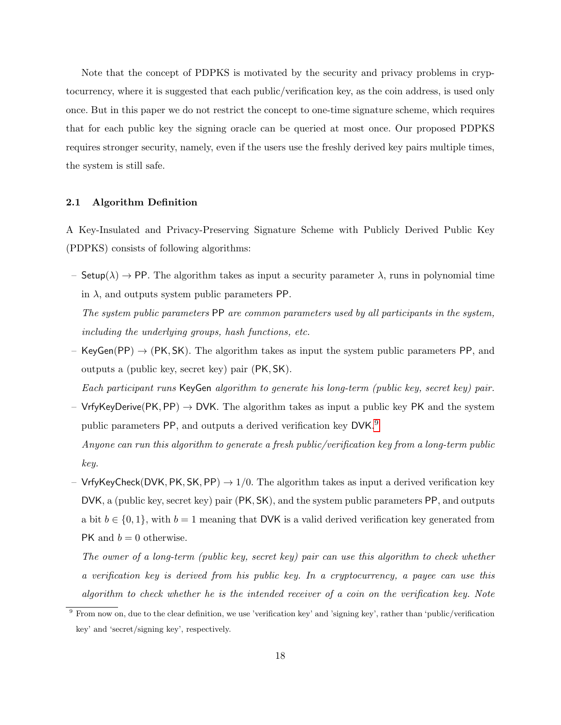Note that the concept of PDPKS is motivated by the security and privacy problems in cryptocurrency, where it is suggested that each public/verification key, as the coin address, is used only once. But in this paper we do not restrict the concept to one-time signature scheme, which requires that for each public key the signing oracle can be queried at most once. Our proposed PDPKS requires stronger security, namely, even if the users use the freshly derived key pairs multiple times, the system is still safe.

## 2.1 Algorithm Definition

A Key-Insulated and Privacy-Preserving Signature Scheme with Publicly Derived Public Key (PDPKS) consists of following algorithms:

– Setup( $\lambda$ )  $\rightarrow$  PP. The algorithm takes as input a security parameter  $\lambda$ , runs in polynomial time in  $\lambda$ , and outputs system public parameters PP.

The system public parameters PP are common parameters used by all participants in the system, including the underlying groups, hash functions, etc.

– KeyGen(PP)  $\rightarrow$  (PK, SK). The algorithm takes as input the system public parameters PP, and outputs a (public key, secret key) pair (PK, SK).

Each participant runs KeyGen algorithm to generate his long-term (public key, secret key) pair.

– VrfyKeyDerive(PK, PP)  $\rightarrow$  DVK. The algorithm takes as input a public key PK and the system public parameters PP, and outputs a derived verification key DVK.<sup>[9](#page-17-0)</sup>

Anyone can run this algorithm to generate a fresh public/verification key from a long-term public key.

– VrfyKeyCheck(DVK, PK, SK, PP)  $\rightarrow$  1/0. The algorithm takes as input a derived verification key DVK, a (public key, secret key) pair (PK, SK), and the system public parameters PP, and outputs a bit  $b \in \{0, 1\}$ , with  $b = 1$  meaning that DVK is a valid derived verification key generated from PK and  $b = 0$  otherwise.

The owner of a long-term (public key, secret key) pair can use this algorithm to check whether a verification key is derived from his public key. In a cryptocurrency, a payee can use this algorithm to check whether he is the intended receiver of a coin on the verification key. Note

<span id="page-17-0"></span><sup>9</sup> From now on, due to the clear definition, we use 'verification key' and 'signing key', rather than 'public/verification key' and 'secret/signing key', respectively.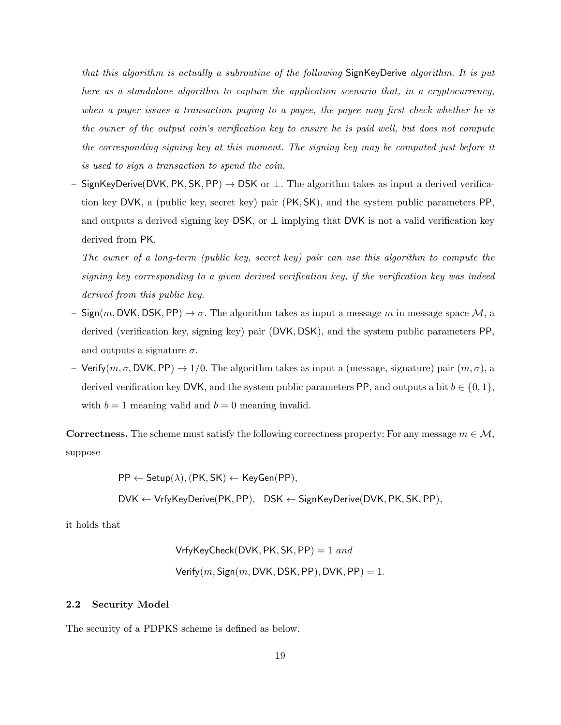that this algorithm is actually a subroutine of the following SignKeyDerive algorithm. It is put here as a standalone algorithm to capture the application scenario that, in a cryptocurrency, when a payer issues a transaction paying to a payee, the payee may first check whether he is the owner of the output coin's verification key to ensure he is paid well, but does not compute the corresponding signing key at this moment. The signing key may be computed just before it is used to sign a transaction to spend the coin.

SignKeyDerive(DVK, PK, SK, PP)  $\rightarrow$  DSK or  $\perp$ . The algorithm takes as input a derived verification key DVK, a (public key, secret key) pair (PK, SK), and the system public parameters PP, and outputs a derived signing key DSK, or  $\perp$  implying that DVK is not a valid verification key derived from PK.

The owner of a long-term (public key, secret key) pair can use this algorithm to compute the signing key corresponding to a given derived verification key, if the verification key was indeed derived from this public key.

- Sign(m, DVK, DSK, PP)  $\rightarrow \sigma$ . The algorithm takes as input a message m in message space  $\mathcal{M}$ , a derived (verification key, signing key) pair (DVK, DSK), and the system public parameters PP, and outputs a signature  $\sigma$ .
- Verify(m,  $\sigma$ , DVK, PP)  $\rightarrow$  1/0. The algorithm takes as input a (message, signature) pair  $(m, \sigma)$ , a derived verification key DVK, and the system public parameters PP, and outputs a bit  $b \in \{0, 1\}$ , with  $b = 1$  meaning valid and  $b = 0$  meaning invalid.

**Correctness.** The scheme must satisfy the following correctness property: For any message  $m \in \mathcal{M}$ , suppose

 $PP \leftarrow$  Setup( $\lambda$ ), (PK, SK)  $\leftarrow$  KeyGen(PP),

DVK ← VrfyKeyDerive(PK, PP), DSK ← SignKeyDerive(DVK, PK, SK, PP),

it holds that

<span id="page-18-0"></span>VrfyKeyCheck(DVK, PK, SK, PP) = 1 and  
Verify(
$$
m
$$
, Sign( $m$ , DVK, DSK, PP), DVK, PP) = 1.

## 2.2 Security Model

The security of a PDPKS scheme is defined as below.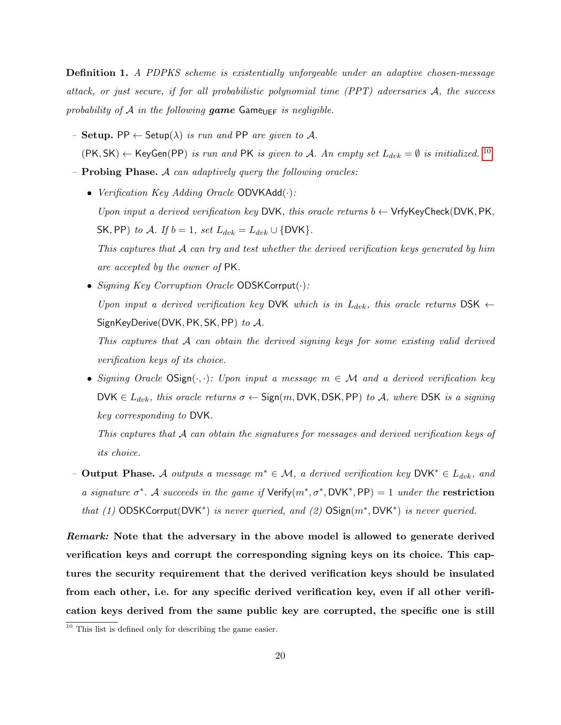**Definition 1.** A PDPKS scheme is existentially unforgeable under an adaptive chosen-message attack, or just secure, if for all probabilistic polynomial time (PPT) adversaries A, the success probability of A in the following game Game UEF is negligible.

- Setup. PP  $\leftarrow$  Setup( $\lambda$ ) is run and PP are given to A.  $(PK, SK) \leftarrow KeyGen(PP)$  is run and PK is given to A. An empty set  $L_{dvk} = \emptyset$  is initialized. <sup>[10](#page-19-0)</sup>
- $-$  **Probing Phase.** A can adaptively query the following oracles:
	- Verification Key Adding Oracle  $ODVKAdd(\cdot)$ : Upon input a derived verification key DVK, this oracle returns  $b \leftarrow V$ rfyKeyCheck(DVK, PK, SK, PP) to A. If  $b = 1$ , set  $L_{dvk} = L_{dvk} \cup \{DVK\}$ . This captures that A can try and test whether the derived verification keys generated by him are accepted by the owner of PK.
	- Signing Key Corruption Oracle  $ODSKCorrput(\cdot)$ : Upon input a derived verification key DVK which is in  $L_{dwk}$ , this oracle returns DSK  $\leftarrow$ SignKeyDerive(DVK, PK, SK, PP) to  $A$ .

This captures that  $A$  can obtain the derived signing keys for some existing valid derived verification keys of its choice.

• Signing Oracle  $OSign(\cdot, \cdot)$ : Upon input a message  $m \in \mathcal{M}$  and a derived verification key DVK  $\in$   $L_{dvk}$ , this oracle returns  $\sigma \leftarrow$  Sign(m, DVK, DSK, PP) to A, where DSK is a signing key corresponding to DVK.

This captures that A can obtain the signatures for messages and derived verification keys of its choice.

– Output Phase. A outputs a message  $m^* \in \mathcal{M}$ , a derived verification key DVK<sup>\*</sup> ∈  $L_{dvk}$ , and a signature  $\sigma^*$ . A succeeds in the game if  $Verify(m^*, \sigma^*, DVK^*, PP) = 1$  under the **restriction** that (1) ODSKCorrput(DVK<sup>\*</sup>) is never queried, and (2)  $OSign(m^*,DVK^*)$  is never queried.

Remark: Note that the adversary in the above model is allowed to generate derived verification keys and corrupt the corresponding signing keys on its choice. This captures the security requirement that the derived verification keys should be insulated from each other, i.e. for any specific derived verification key, even if all other verification keys derived from the same public key are corrupted, the specific one is still

<span id="page-19-0"></span><sup>&</sup>lt;sup>10</sup> This list is defined only for describing the game easier.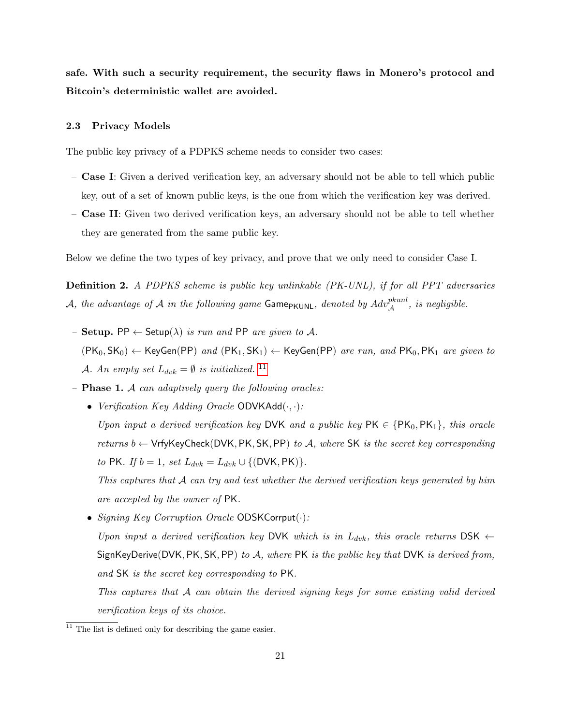safe. With such a security requirement, the security flaws in Monero's protocol and Bitcoin's deterministic wallet are avoided.

#### 2.3 Privacy Models

The public key privacy of a PDPKS scheme needs to consider two cases:

- Case I: Given a derived verification key, an adversary should not be able to tell which public key, out of a set of known public keys, is the one from which the verification key was derived.
- Case II: Given two derived verification keys, an adversary should not be able to tell whether they are generated from the same public key.

Below we define the two types of key privacy, and prove that we only need to consider Case I.

Definition 2. A PDPKS scheme is public key unlinkable (PK-UNL), if for all PPT adversaries A, the advantage of A in the following game GamePKUNL, denoted by Advpkunl A , is negligible.

- Setup. PP  $\leftarrow$  Setup( $\lambda$ ) is run and PP are given to A.  $(PK_0, SK_0) \leftarrow \mathsf{KeyGen}(PP) \ and \ (PK_1, SK_1) \leftarrow \mathsf{KeyGen}(PP) \ are \ run, \ and \ \mathsf{PK}_0, \mathsf{PK}_1 \ are \ given \ to$ A. An empty set  $L_{dvk} = \emptyset$  is initialized. <sup>[11](#page-20-0)</sup>
- $-$  **Phase 1.** A can adaptively query the following oracles:
	- Verification Key Adding Oracle  $ODVKAdd(·,·):$ Upon input a derived verification key DVK and a public key  $PK \in \{PK_0, PK_1\}$ , this oracle returns  $b \leftarrow \mathsf{VrfyKeyCheck}(\mathsf{DVK}, \mathsf{PK}, \mathsf{SK}, \mathsf{PP})$  to A, where SK is the secret key corresponding to PK. If  $b = 1$ , set  $L_{dvk} = L_{dvk} \cup \{(\text{DVK}, \text{PK})\}.$

This captures that A can try and test whether the derived verification keys generated by him are accepted by the owner of PK.

• Signing Key Corruption Oracle  $ODSKCorrput(\cdot)$ :

Upon input a derived verification key DVK which is in  $L_{dvk}$ , this oracle returns DSK  $\leftarrow$ SignKeyDerive(DVK, PK, SK, PP) to  $A$ , where PK is the public key that DVK is derived from, and SK is the secret key corresponding to PK.

This captures that A can obtain the derived signing keys for some existing valid derived verification keys of its choice.

<span id="page-20-0"></span> $11$  The list is defined only for describing the game easier.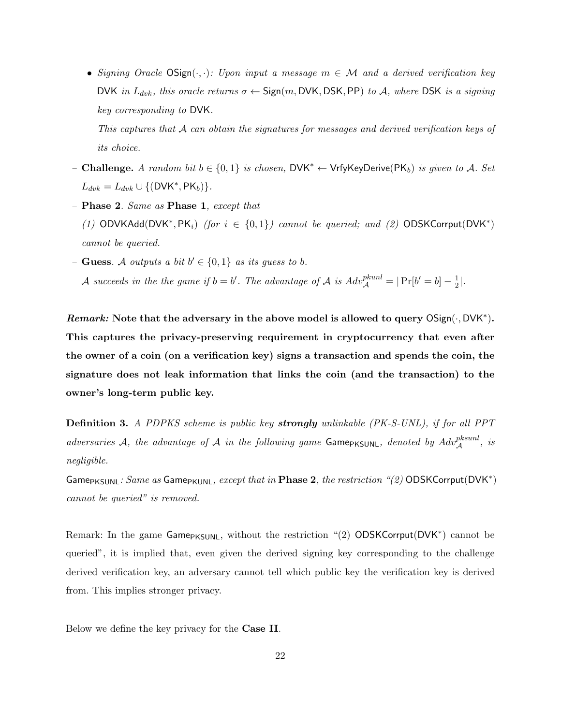• Signing Oracle  $OSign(\cdot, \cdot)$ : Upon input a message  $m \in \mathcal{M}$  and a derived verification key DVK in  $L_{dvk}$ , this oracle returns  $\sigma \leftarrow$  Sign(m, DVK, DSK, PP) to A, where DSK is a signing key corresponding to DVK.

This captures that A can obtain the signatures for messages and derived verification keys of its choice.

- Challenge. A random bit  $b \in \{0,1\}$  is chosen, DVK<sup>\*</sup> ← VrfyKeyDerive(PK<sub>b</sub>) is given to A. Set  $L_{dvk} = L_{dvk} \cup \{(\textsf{DVK}^*, \textsf{PK}_b)\}.$
- Phase 2. Same as Phase 1, except that (1) ODVKAdd(DVK\*, PK<sub>i</sub>) (for  $i \in \{0,1\}$ ) cannot be queried; and (2) ODSKCorrput(DVK\*) cannot be queried.
- $\text{-}\mathbf{G}$ **uess**. A outputs a bit  $b' \in \{0,1\}$  as its guess to b. A succeeds in the the game if  $b = b'$ . The advantage of A is  $Adv_{\mathcal{A}}^{pkunl} = |\Pr[b' = b] - \frac{1}{2}$  $\frac{1}{2}$ .

Remark: Note that the adversary in the above model is allowed to query  $OSign(\cdot, DVK^*)$ . This captures the privacy-preserving requirement in cryptocurrency that even after the owner of a coin (on a verification key) signs a transaction and spends the coin, the signature does not leak information that links the coin (and the transaction) to the owner's long-term public key.

<span id="page-21-0"></span>Definition 3. A PDPKS scheme is public key strongly unlinkable (PK-S-UNL), if for all PPT adversaries A, the advantage of A in the following game Game<sub>PKSUNL</sub>, denoted by  $Adv_{\mathcal{A}}^{pksunl}$ , is negligible.

 $\mathsf{Game}_{\mathsf{PKSUNL}}\colon \mathit{Same}\text{ as } \mathsf{Game}_{\mathsf{PKUNL}}, \text{ except that in } \mathbf{Phase}\text{ } \mathbf{2}, \text{ the restriction } \text{``(2) } \mathsf{ODSKCorrput}(\mathsf{DVK}^*)$ cannot be queried" is removed.

Remark: In the game Game<sub>PKSUNL</sub>, without the restriction "(2) ODSKCorrput(DVK<sup>\*</sup>) cannot be queried", it is implied that, even given the derived signing key corresponding to the challenge derived verification key, an adversary cannot tell which public key the verification key is derived from. This implies stronger privacy.

Below we define the key privacy for the Case II.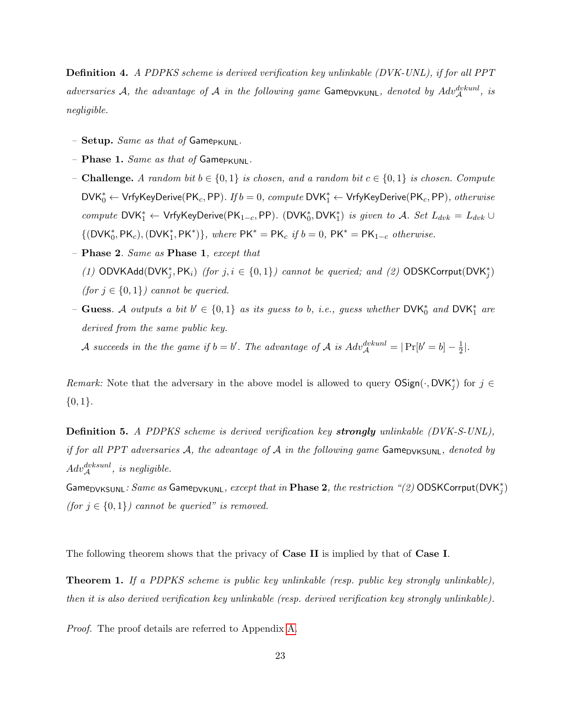**Definition 4.** A PDPKS scheme is derived verification key unlinkable (DVK-UNL), if for all PPT adversaries A, the advantage of A in the following game Game<sub>DVKUNL</sub>, denoted by  $Adv_{\mathcal{A}}^{dvkunl}$ , is negligible.

- Setup. Same as that of GamePKUNL.
- Phase 1. Same as that of GamePKUNL.
- Challenge. A random bit  $b \in \{0, 1\}$  is chosen, and a random bit  $c \in \{0, 1\}$  is chosen. Compute  $\mathsf{DVK}_0^* \leftarrow \mathsf{VrfyKeyDerive}(\mathsf{PK}_c, \mathsf{PP}).$  If  $b = 0$ , compute  $\mathsf{DVK}_1^* \leftarrow \mathsf{VrfyKeyDerive}(\mathsf{PK}_c, \mathsf{PP}),$  otherwise compute  $DVK_1^* \leftarrow VrfyKeyDerive(PK_{1-c}, PP)$ . ( $DVK_0^*$ ,  $DVK_1^*$ ) is given to A. Set  $L_{dvk} = L_{dvk} \cup$  $\{({\sf DVK}_0^*, {\sf PK}_c), ({\sf DVK}_1^*, {\sf PK}^*)\},$  where  ${\sf PK}^* = {\sf PK}_c$  if  $b = 0$ ,  ${\sf PK}^* = {\sf PK}_{1-c}$  otherwise.
- Phase 2. Same as Phase 1, except that (1) ODVKAdd(DVK<sup>\*</sup><sub>j</sub>, PK<sub>i</sub>) (for  $j, i \in \{0, 1\}$ ) cannot be queried; and (2) ODSKCorrput(DVK<sup>\*</sup><sub>j</sub>) (for  $j \in \{0,1\}$ ) cannot be queried.
- Guess. A outputs a bit  $b' \in \{0,1\}$  as its guess to b, i.e., guess whether DVK<sup>\*</sup><sub>0</sub> and DVK<sup>\*</sup><sub>1</sub> are derived from the same public key.

A succeeds in the the game if  $b = b'$ . The advantage of A is  $Adv_{\mathcal{A}}^{dvkunl} = |\Pr[b' = b] - \frac{1}{2}$  $\frac{1}{2}$ .

Remark: Note that the adversary in the above model is allowed to query  $OSign(\cdot, DVK_j^*)$  for  $j \in$  $\{0,1\}.$ 

**Definition 5.** A PDPKS scheme is derived verification key strongly unlinkable (DVK-S-UNL), if for all PPT adversaries A, the advantage of A in the following game Game  $\alpha$ KSUNL, denoted by  $Adv_{\mathcal{A}}^{dvksunl}$ , is negligible.

Game<sub>DVKSUNL</sub>:  $Same$  as Game<sub>DVKUNL</sub>,  $except$  that in  $\bf Phase$  2, the restriction "(2)  $\sf ODSKCorput(DVK_j^*)$ (for  $j \in \{0,1\}$ ) cannot be queried" is removed.

<span id="page-22-0"></span>The following theorem shows that the privacy of Case II is implied by that of Case I.

**Theorem 1.** If a PDPKS scheme is public key unlinkable (resp. public key strongly unlinkable), then it is also derived verification key unlinkable (resp. derived verification key strongly unlinkable).

Proof. The proof details are referred to Appendix [A.](#page-41-13)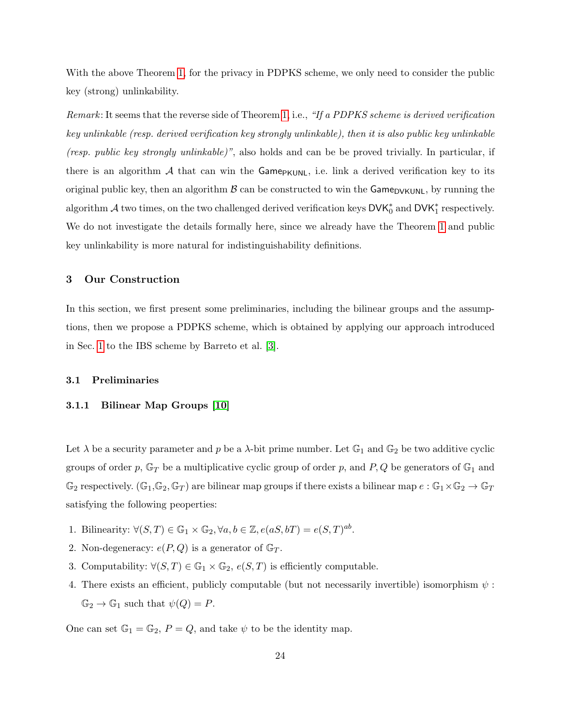With the above Theorem [1,](#page-22-0) for the privacy in PDPKS scheme, we only need to consider the public key (strong) unlinkability.

Remark: It seems that the reverse side of Theorem [1,](#page-22-0) i.e., "If a PDPKS scheme is derived verification key unlinkable (resp. derived verification key strongly unlinkable), then it is also public key unlinkable (resp. public key strongly unlinkable)", also holds and can be be proved trivially. In particular, if there is an algorithm  $\mathcal A$  that can win the Game<sub>PKUNL</sub>, i.e. link a derived verification key to its original public key, then an algorithm  $\beta$  can be constructed to win the Game<sub>DVKUNL</sub>, by running the algorithm  $\mathcal A$  two times, on the two challenged derived verification keys  $\mathsf{DVK}_0^*$  and  $\mathsf{DVK}_1^*$  respectively. We do not investigate the details formally here, since we already have the Theorem [1](#page-22-0) and public key unlinkability is more natural for indistinguishability definitions.

## <span id="page-23-0"></span>3 Our Construction

In this section, we first present some preliminaries, including the bilinear groups and the assumptions, then we propose a PDPKS scheme, which is obtained by applying our approach introduced in Sec. [1](#page-1-0) to the IBS scheme by Barreto et al. [\[3\]](#page-39-3).

#### 3.1 Preliminaries

#### 3.1.1 Bilinear Map Groups [\[10\]](#page-40-17)

Let  $\lambda$  be a security parameter and p be a  $\lambda$ -bit prime number. Let  $\mathbb{G}_1$  and  $\mathbb{G}_2$  be two additive cyclic groups of order p,  $\mathbb{G}_T$  be a multiplicative cyclic group of order p, and P, Q be generators of  $\mathbb{G}_1$  and  $\mathbb{G}_2$  respectively.  $(\mathbb{G}_1,\mathbb{G}_2,\mathbb{G}_T)$  are bilinear map groups if there exists a bilinear map  $e:\mathbb{G}_1\times\mathbb{G}_2\to\mathbb{G}_T$ satisfying the following peoperties:

- 1. Bilinearity:  $\forall (S,T) \in \mathbb{G}_1 \times \mathbb{G}_2, \forall a, b \in \mathbb{Z}, e(aS, bT) = e(S,T)^{ab}$ .
- 2. Non-degeneracy:  $e(P,Q)$  is a generator of  $\mathbb{G}_T$ .
- 3. Computability:  $\forall (S,T) \in \mathbb{G}_1 \times \mathbb{G}_2$ ,  $e(S,T)$  is efficiently computable.
- 4. There exists an efficient, publicly computable (but not necessarily invertible) isomorphism  $\psi$ :  $\mathbb{G}_2 \to \mathbb{G}_1$  such that  $\psi(Q) = P$ .

One can set  $\mathbb{G}_1 = \mathbb{G}_2$ ,  $P = Q$ , and take  $\psi$  to be the identity map.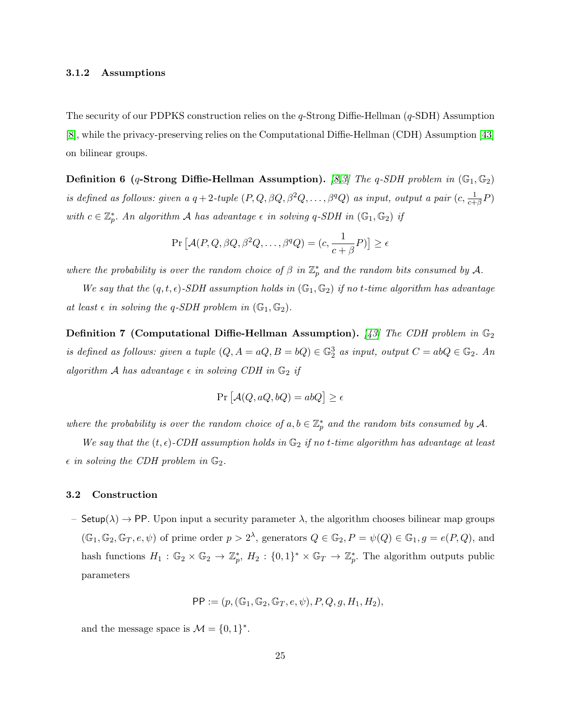#### 3.1.2 Assumptions

The security of our PDPKS construction relies on the  $q$ -Strong Diffie-Hellman  $(q$ -SDH) Assumption [\[8\]](#page-40-18), while the privacy-preserving relies on the Computational Diffie-Hellman (CDH) Assumption [\[43\]](#page-41-14) on bilinear groups.

**Definition 6** (q-Strong Diffie-Hellman Assumption). [\[8,](#page-40-18)[3\]](#page-39-3) The q-SDH problem in  $(\mathbb{G}_1, \mathbb{G}_2)$ is defined as follows: given a  $q+2$ -tuple  $(P,Q,\beta Q,\beta^2 Q,\ldots,\beta^q Q)$  as input, output a pair  $(c,\frac{1}{c+\beta}P)$ with  $c \in \mathbb{Z}_p^*$ . An algorithm A has advantage  $\epsilon$  in solving q-SDH in  $(\mathbb{G}_1, \mathbb{G}_2)$  if

$$
\Pr\left[\mathcal{A}(P,Q,\beta Q,\beta^2 Q,\ldots,\beta^q Q)=(c,\frac{1}{c+\beta}P)\right]\geq \epsilon
$$

where the probability is over the random choice of  $\beta$  in  $\mathbb{Z}_p^*$  and the random bits consumed by A.

We say that the  $(q, t, \epsilon)$ -SDH assumption holds in  $(\mathbb{G}_1, \mathbb{G}_2)$  if no t-time algorithm has advantage at least  $\epsilon$  in solving the q-SDH problem in  $(\mathbb{G}_1, \mathbb{G}_2)$ .

**Definition 7 (Computational Diffie-Hellman Assumption).** [\[43\]](#page-41-14) The CDH problem in  $\mathbb{G}_2$ is defined as follows: given a tuple  $(Q, A = aQ, B = bQ) \in \mathbb{G}_2^3$  as input, output  $C = abQ \in \mathbb{G}_2$ . An algorithm A has advantage  $\epsilon$  in solving CDH in  $\mathbb{G}_2$  if

$$
Pr\left[\mathcal{A}(Q, aQ, bQ) = abQ\right] \ge \epsilon
$$

where the probability is over the random choice of  $a, b \in \mathbb{Z}_p^*$  and the random bits consumed by A.

We say that the  $(t, \epsilon)$ -CDH assumption holds in  $\mathbb{G}_2$  if no t-time algorithm has advantage at least  $\epsilon$  in solving the CDH problem in  $\mathbb{G}_2$ .

#### 3.2 Construction

– Setup( $\lambda$ )  $\rightarrow$  PP. Upon input a security parameter  $\lambda$ , the algorithm chooses bilinear map groups  $(\mathbb{G}_1, \mathbb{G}_2, \mathbb{G}_T, e, \psi)$  of prime order  $p > 2^{\lambda}$ , generators  $Q \in \mathbb{G}_2$ ,  $P = \psi(Q) \in \mathbb{G}_1$ ,  $g = e(P, Q)$ , and hash functions  $H_1 : \mathbb{G}_2 \times \mathbb{G}_2 \to \mathbb{Z}_p^*$ ,  $H_2 : \{0,1\}^* \times \mathbb{G}_T \to \mathbb{Z}_p^*$ . The algorithm outputs public parameters

$$
\mathsf{PP} := (p, (\mathbb{G}_1, \mathbb{G}_2, \mathbb{G}_T, e, \psi), P, Q, g, H_1, H_2),
$$

and the message space is  $\mathcal{M} = \{0, 1\}^*$ .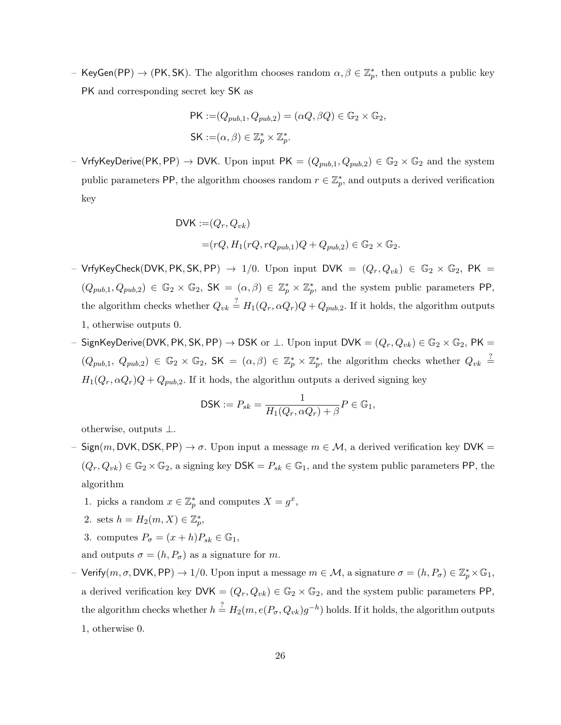- KeyGen(PP)  $\to$  (PK, SK). The algorithm chooses random  $\alpha, \beta \in \mathbb{Z}_p^*$ , then outputs a public key PK and corresponding secret key SK as

$$
\begin{aligned} \mathsf{PK} &:= (Q_{pub,1}, Q_{pub,2}) = (\alpha Q, \beta Q) \in \mathbb{G}_2 \times \mathbb{G}_2, \\ \mathsf{SK} &:= (\alpha, \beta) \in \mathbb{Z}_p^* \times \mathbb{Z}_p^*. \end{aligned}
$$

– VrfyKeyDerive(PK, PP)  $\to$  DVK. Upon input PK =  $(Q_{pub,1}, Q_{pub,2}) \in \mathbb{G}_2 \times \mathbb{G}_2$  and the system public parameters PP, the algorithm chooses random  $r \in \mathbb{Z}_p^*$ , and outputs a derived verification key

DVK := 
$$
(Q_r, Q_{vk})
$$
  
=  $(rQ, H_1(rQ, rQ_{pub,1})Q + Q_{pub,2}) \in \mathbb{G}_2 \times \mathbb{G}_2$ .

- VrfyKeyCheck(DVK, PK, SK, PP)  $\rightarrow$  1/0. Upon input DVK =  $(Q_r, Q_{vk}) \in \mathbb{G}_2 \times \mathbb{G}_2$ , PK =  $(Q_{pub,1}, Q_{pub,2}) \in \mathbb{G}_2 \times \mathbb{G}_2$ , SK =  $(\alpha, \beta) \in \mathbb{Z}_p^* \times \mathbb{Z}_p^*$ , and the system public parameters PP, the algorithm checks whether  $Q_{vk} \stackrel{?}{=} H_1(Q_r, \alpha Q_r)Q + Q_{pub,2}$ . If it holds, the algorithm outputs 1, otherwise outputs 0.
- SignKeyDerive(DVK, PK, SK, PP) → DSK or  $\bot$ . Upon input DVK =  $(Q_r, Q_{vk}) \in \mathbb{G}_2 \times \mathbb{G}_2$ , PK =  $(Q_{pub,1}, Q_{pub,2}) \in \mathbb{G}_2 \times \mathbb{G}_2$ , SK =  $(\alpha, \beta) \in \mathbb{Z}_p^* \times \mathbb{Z}_p^*$ , the algorithm checks whether  $Q_{vk} \stackrel{?}{=}$  $H_1(Q_r, \alpha Q_r)Q + Q_{pub,2}$ . If it hods, the algorithm outputs a derived signing key

$$
\mathsf{DSK} := P_{sk} = \frac{1}{H_1(Q_r, \alpha Q_r) + \beta} P \in \mathbb{G}_1,
$$

otherwise, outputs ⊥.

- Sign(m, DVK, DSK, PP)  $\rightarrow \sigma$ . Upon input a message  $m \in \mathcal{M}$ , a derived verification key DVK =  $(Q_r, Q_{vk}) \in \mathbb{G}_2 \times \mathbb{G}_2$ , a signing key  $DSK = P_{sk} \in \mathbb{G}_1$ , and the system public parameters PP, the algorithm
	- 1. picks a random  $x \in \mathbb{Z}_p^*$  and computes  $X = g^x$ ,
	- 2. sets  $h = H_2(m, X) \in \mathbb{Z}_p^*$ ,
	- 3. computes  $P_{\sigma} = (x + h)P_{sk} \in \mathbb{G}_1$ ,
	- and outputs  $\sigma = (h, P_{\sigma})$  as a signature for m.
- Verify $(m, \sigma, \text{DVK}, \text{PP}) \rightarrow 1/0$ . Upon input a message  $m \in \mathcal{M}$ , a signature  $\sigma = (h, P_{\sigma}) \in \mathbb{Z}_p^* \times \mathbb{G}_1$ , a derived verification key  $\mathsf{DVK} = (Q_r, Q_{vk}) \in \mathbb{G}_2 \times \mathbb{G}_2$ , and the system public parameters PP, the algorithm checks whether  $h \stackrel{?}{=} H_2(m, e(P_\sigma, Q_{vk})g^{-h})$  holds. If it holds, the algorithm outputs 1, otherwise 0.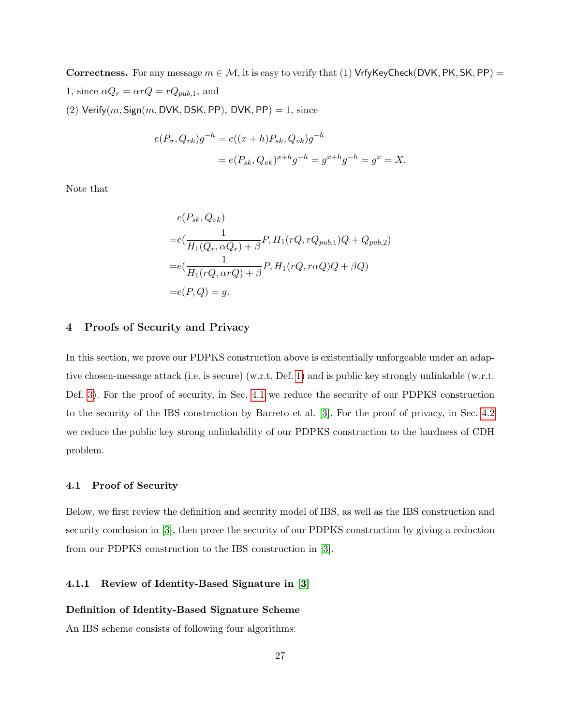Correctness. For any message  $m \in \mathcal{M}$ , it is easy to verify that (1) VrfyKeyCheck(DVK, PK, SK, PP) = 1, since  $\alpha Q_r = \alpha r Q = r Q_{pub,1}$ , and (2) Verify $(m, \text{Sign}(m, \text{DVK}, \text{DSK}, \text{PP})$ , DVK, PP $) = 1$ , since

$$
e(P_{\sigma}, Q_{vk})g^{-h} = e((x+h)P_{sk}, Q_{vk})g^{-h}
$$
  
=  $e(P_{sk}, Q_{vk})^{x+h}g^{-h} = g^{x+h}g^{-h} = g^x = X.$ 

Note that

$$
e(P_{sk}, Q_{vk})
$$
  
= $e\left(\frac{1}{H_1(Q_r, \alpha Q_r) + \beta} P, H_1(rQ, rQ_{pub,1})Q + Q_{pub,2}\right)$   
= $e\left(\frac{1}{H_1(rQ, \alpha rQ) + \beta} P, H_1(rQ, r\alpha Q)Q + \beta Q\right)$   
= $e(P, Q) = g.$ 

## <span id="page-26-0"></span>4 Proofs of Security and Privacy

In this section, we prove our PDPKS construction above is existentially unforgeable under an adaptive chosen-message attack (i.e. is secure) (w.r.t. Def. [1\)](#page-18-0) and is public key strongly unlinkable (w.r.t. Def. [3\)](#page-21-0). For the proof of security, in Sec. [4.1](#page-26-1) we reduce the security of our PDPKS construction to the security of the IBS construction by Barreto et al. [\[3\]](#page-39-3). For the proof of privacy, in Sec. [4.2](#page-32-0) we reduce the public key strong unlinkability of our PDPKS construction to the hardness of CDH problem.

#### <span id="page-26-1"></span>4.1 Proof of Security

Below, we first review the definition and security model of IBS, as well as the IBS construction and security conclusion in [\[3\]](#page-39-3), then prove the security of our PDPKS construction by giving a reduction from our PDPKS construction to the IBS construction in [\[3\]](#page-39-3).

## 4.1.1 Review of Identity-Based Signature in [\[3\]](#page-39-3)

#### Definition of Identity-Based Signature Scheme

An IBS scheme consists of following four algorithms: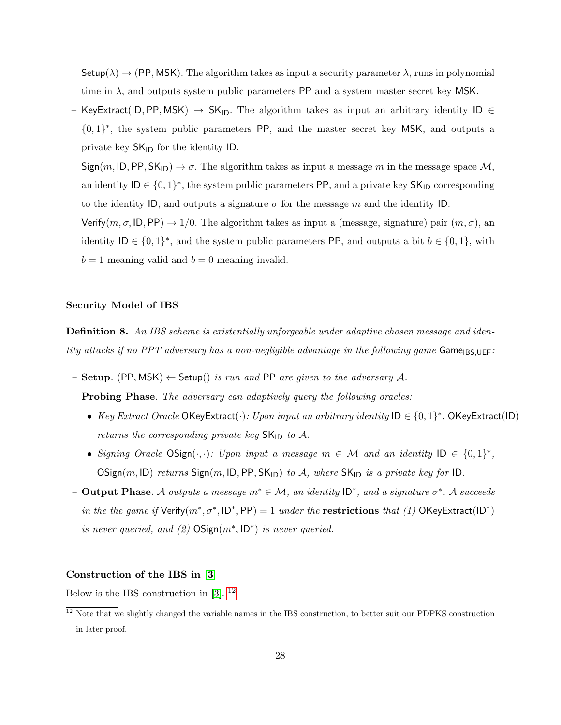- Setup( $\lambda$ )  $\rightarrow$  (PP, MSK). The algorithm takes as input a security parameter  $\lambda$ , runs in polynomial time in  $\lambda$ , and outputs system public parameters PP and a system master secret key MSK.
- KeyExtract(ID, PP, MSK)  $\rightarrow$  SK<sub>ID</sub>. The algorithm takes as input an arbitrary identity ID  $\in$ {0, 1} ∗ , the system public parameters PP, and the master secret key MSK, and outputs a private key  $SK_{\text{ID}}$  for the identity ID.
- $Sign(m, ID, PP, SK_{ID}) \rightarrow \sigma$ . The algorithm takes as input a message m in the message space M, an identity  $ID \in \{0,1\}^*$ , the system public parameters PP, and a private key  $SK_{ID}$  corresponding to the identity ID, and outputs a signature  $\sigma$  for the message m and the identity ID.
- Verify $(m, \sigma, \text{ID}, \text{PP}) \rightarrow 1/0$ . The algorithm takes as input a (message, signature) pair  $(m, \sigma)$ , an identity  $ID \in \{0,1\}^*$ , and the system public parameters PP, and outputs a bit  $b \in \{0,1\}$ , with  $b = 1$  meaning valid and  $b = 0$  meaning invalid.

#### Security Model of IBS

**Definition 8.** An IBS scheme is existentially unforgeable under adaptive chosen message and identity attacks if no PPT adversary has a non-negligible advantage in the following game  $\mathsf{Game}_{\mathsf{IBS},\mathsf{UEF}}$ :

- Setup. (PP, MSK)  $\leftarrow$  Setup() is run and PP are given to the adversary A.
- Probing Phase. The adversary can adaptively query the following oracles:
	- Key Extract Oracle OKeyExtract $(\cdot)$ : Upon input an arbitrary identity  $ID \in \{0,1\}^*$ , OKeyExtract $(ID)$ returns the corresponding private key  $SK_{ID}$  to A.
	- Signing Oracle OSign $(\cdot, \cdot)$ : Upon input a message  $m \in \mathcal{M}$  and an identity  $ID \in \{0,1\}^*$ , OSign $(m, ID)$  returns Sign $(m, ID, PP, SK_{ID})$  to A, where SK<sub>ID</sub> is a private key for ID.
- $-$  Output Phase. A outputs a message m<sup>\*</sup> ∈ M, an identity  $ID^*$ , and a signature  $\sigma^*$ . A succeeds in the the game if  $Verify(m^*, \sigma^*, ID^*, PP) = 1$  under the restrictions that (1) OKeyExtract(ID<sup>\*</sup>) is never queried, and  $(2)$  OSign $(m^*, \mathsf{ID}^*)$  is never queried.

#### Construction of the IBS in [\[3\]](#page-39-3)

Below is the IBS construction in [\[3\]](#page-39-3). [12](#page-27-0)

<span id="page-27-0"></span><sup>&</sup>lt;sup>12</sup> Note that we slightly changed the variable names in the IBS construction, to better suit our PDPKS construction in later proof.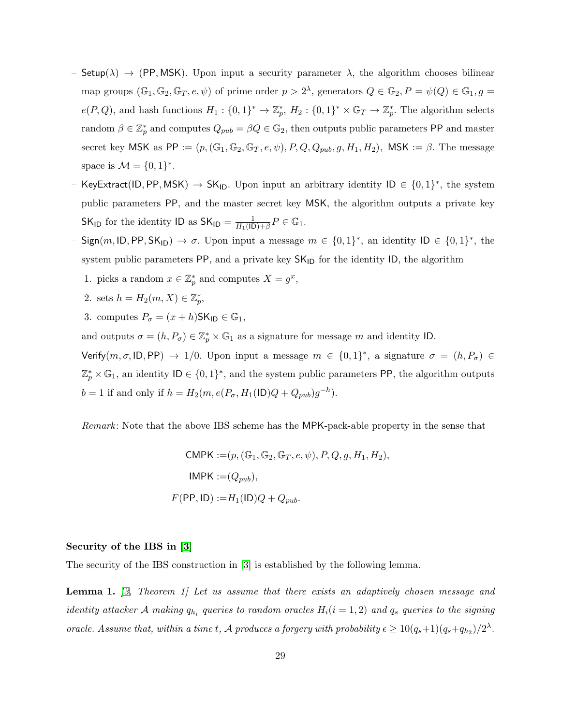- Setup( $\lambda$ )  $\rightarrow$  (PP, MSK). Upon input a security parameter  $\lambda$ , the algorithm chooses bilinear map groups  $(\mathbb{G}_1, \mathbb{G}_2, \mathbb{G}_T, e, \psi)$  of prime order  $p > 2^{\lambda}$ , generators  $Q \in \mathbb{G}_2, P = \psi(Q) \in \mathbb{G}_1, g =$  $e(P,Q)$ , and hash functions  $H_1: \{0,1\}^* \to \mathbb{Z}_p^*, H_2: \{0,1\}^* \times \mathbb{G}_T \to \mathbb{Z}_p^*$ . The algorithm selects random  $\beta \in \mathbb{Z}_p^*$  and computes  $Q_{pub} = \beta Q \in \mathbb{G}_2$ , then outputs public parameters PP and master secret key MSK as PP :=  $(p, (\mathbb{G}_1, \mathbb{G}_2, \mathbb{G}_T, e, \psi), P, Q, Q_{pub}, g, H_1, H_2)$ , MSK :=  $\beta$ . The message space is  $M = \{0, 1\}^*$ .
- KeyExtract(ID, PP, MSK)  $\rightarrow$  SK<sub>ID</sub>. Upon input an arbitrary identity ID  $\in \{0,1\}^*$ , the system public parameters PP, and the master secret key MSK, the algorithm outputs a private key SK<sub>ID</sub> for the identity ID as  $SK_{ID} = \frac{1}{H_1(IL)}$  $\frac{1}{H_1(\mathsf{ID})+\beta}P\in\mathbb{G}_1.$
- Sign(m, ID, PP, SK<sub>ID</sub>)  $\rightarrow \sigma$ . Upon input a message  $m \in \{0,1\}^*$ , an identity ID  $\in \{0,1\}^*$ , the system public parameters PP, and a private key  $\mathsf{SK}_{\mathsf{ID}}$  for the identity  $\mathsf{ID},$  the algorithm
	- 1. picks a random  $x \in \mathbb{Z}_p^*$  and computes  $X = g^x$ ,
	- 2. sets  $h = H_2(m, X) \in \mathbb{Z}_p^*$ ,
	- 3. computes  $P_{\sigma} = (x + h)$ SK<sub>ID</sub>  $\in \mathbb{G}_1$ ,

and outputs  $\sigma = (h, P_{\sigma}) \in \mathbb{Z}_p^* \times \mathbb{G}_1$  as a signature for message m and identity ID.

- Verify $(m, \sigma, \text{ID}, \text{PP}) \rightarrow 1/0$ . Upon input a message  $m \in \{0,1\}^*$ , a signature  $\sigma = (h, P_{\sigma}) \in$  $\mathbb{Z}_p^* \times \mathbb{G}_1$ , an identity  $\mathsf{ID} \in \{0,1\}^*$ , and the system public parameters PP, the algorithm outputs  $b = 1$  if and only if  $h = H_2(m, e(P_{\sigma}, H_1(\text{ID})Q + Q_{pub})g^{-h}).$ 

Remark: Note that the above IBS scheme has the MPK-pack-able property in the sense that

<span id="page-28-0"></span>
$$
CMPK := (p, (\mathbb{G}_1, \mathbb{G}_2, \mathbb{G}_T, e, \psi), P, Q, g, H_1, H_2),
$$
  
IMPK := $(Q_{pub}),$   

$$
F(\text{PP}, \text{ID}) := H_1(\text{ID})Q + Q_{pub}.
$$

#### Security of the IBS in [\[3\]](#page-39-3)

The security of the IBS construction in [\[3\]](#page-39-3) is established by the following lemma.

**Lemma 1.** [\[3,](#page-39-3) Theorem 1] Let us assume that there exists an adaptively chosen message and identity attacker A making  $q_{h_i}$  queries to random oracles  $H_i(i = 1, 2)$  and  $q_s$  queries to the signing oracle. Assume that, within a time t, A produces a forgery with probability  $\epsilon \geq 10(q_s+1)(q_s+q_{h_2})/2^{\lambda}$ .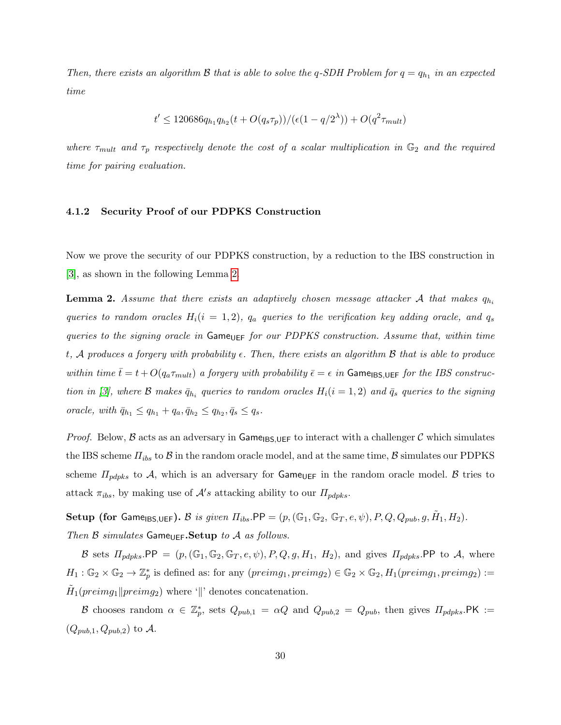Then, there exists an algorithm B that is able to solve the q-SDH Problem for  $q = q_{h_1}$  in an expected time

<span id="page-29-0"></span>
$$
t' \le 120686 q_{h_1} q_{h_2} (t + O(q_s \tau_p)) / (\epsilon (1 - q/2^{\lambda})) + O(q^2 \tau_{mult})
$$

where  $\tau_{mult}$  and  $\tau_p$  respectively denote the cost of a scalar multiplication in  $\mathbb{G}_2$  and the required time for pairing evaluation.

#### 4.1.2 Security Proof of our PDPKS Construction

Now we prove the security of our PDPKS construction, by a reduction to the IBS construction in [\[3\]](#page-39-3), as shown in the following Lemma [2.](#page-29-0)

**Lemma 2.** Assume that there exists an adaptively chosen message attacker A that makes  $q_h$ queries to random oracles  $H_i(i = 1, 2)$ ,  $q_a$  queries to the verification key adding oracle, and  $q_s$ queries to the signing oracle in  $\mathsf{Game}_{\mathsf{UEF}}$  for our PDPKS construction. Assume that, within time t, A produces a forgery with probability  $\epsilon$ . Then, there exists an algorithm B that is able to produce within time  $\bar{t} = t + O(q_a \tau_{mult})$  a forgery with probability  $\bar{\epsilon} = \epsilon$  in Game<sub>IBS,UEF</sub> for the IBS construc-tion in [\[3\]](#page-39-3), where  $\mathcal B$  makes  $\bar{q}_{h_i}$  queries to random oracles  $H_i(i = 1, 2)$  and  $\bar{q}_s$  queries to the signing oracle, with  $\bar{q}_{h_1} \leq q_{h_1} + q_a, \bar{q}_{h_2} \leq q_{h_2}, \bar{q}_s \leq q_s.$ 

*Proof.* Below, B acts as an adversary in Game<sub>IBS,UEF</sub> to interact with a challenger C which simulates the IBS scheme  $\Pi_{ibs}$  to  $\beta$  in the random oracle model, and at the same time,  $\beta$  simulates our PDPKS scheme  $\Pi_{pdpks}$  to A, which is an adversary for  $\textsf{Game}_{\textsf{UEF}}$  in the random oracle model. B tries to attack  $\pi_{ibs}$ , by making use of  $\mathcal{A}'s$  attacking ability to our  $\Pi_{pdpks}$ .

Setup (for Game<sub>IBS,UEF</sub>). B is given  $\Pi_{ibs}$ .PP =  $(p, (\mathbb{G}_1, \mathbb{G}_2, \mathbb{G}_T, e, \psi), P, Q, Q_{pub}, g, \tilde{H}_1, H_2)$ . Then B simulates Game<sub>UEF</sub>.Setup to A as follows.

B sets  $\Pi_{pdpks}$ .PP =  $(p,(\mathbb{G}_1,\mathbb{G}_2,\mathbb{G}_T,e,\psi),P,Q,g,H_1,H_2)$ , and gives  $\Pi_{pdpks}$ .PP to A, where  $H_1: \mathbb{G}_2 \times \mathbb{G}_2 \to \mathbb{Z}_p^*$  is defined as: for any  $(\text{preimg}_1, \text{preimg}_2) \in \mathbb{G}_2 \times \mathbb{G}_2$ ,  $H_1(\text{preimg}_1, \text{preimg}_2) :=$  $\tilde{H}_1(preimg_1||preimg_2)$  where '||' denotes concatenation.

B chooses random  $\alpha \in \mathbb{Z}_p^*$ , sets  $Q_{pub,1} = \alpha Q$  and  $Q_{pub,2} = Q_{pub}$ , then gives  $\Pi_{pdpks}$ . PK :=  $(Q_{pub,1}, Q_{pub,2})$  to A.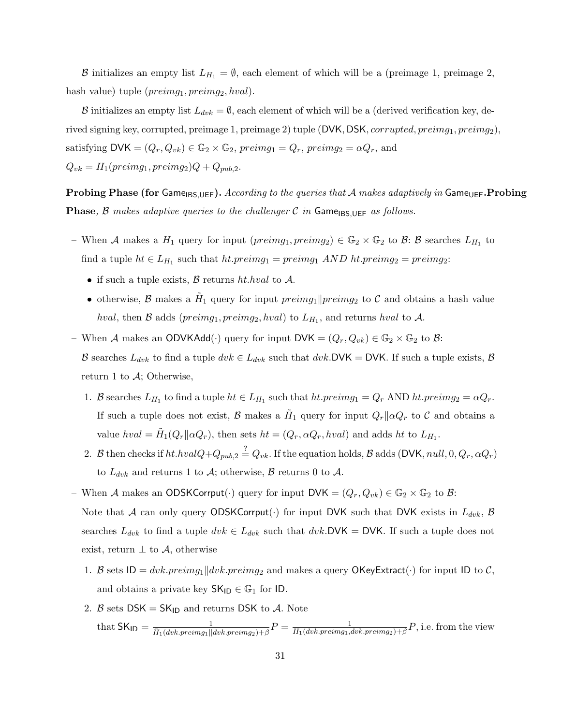B initializes an empty list  $L_{H_1} = \emptyset$ , each element of which will be a (preimage 1, preimage 2, hash value) tuple  $(preimg_1, preimg_2, hval)$ .

B initializes an empty list  $L_{dvk} = \emptyset$ , each element of which will be a (derived verification key, derived signing key, corrupted, preimage 1, preimage 2) tuple (DVK, DSK, corrupted, preimg1, preimg2), satisfying  $\mathsf{DVK} = (Q_r, Q_{vk}) \in \mathbb{G}_2 \times \mathbb{G}_2$ ,  $preimg_1 = Q_r$ ,  $preimg_2 = \alpha Q_r$ , and  $Q_{vk} = H_1(preimg_1, preimg_2)Q + Q_{pub,2}.$ 

**Probing Phase (for Game**<sub>IBS,UEF</sub>). According to the queries that A makes adaptively in Game<sub>UEF</sub>. Probing **Phase, B** makes adaptive queries to the challenger C in Game<sub>IBS,UEF</sub> as follows.

- When A makes a  $H_1$  query for input  $(preimg_1, preimg_2) \in \mathbb{G}_2 \times \mathbb{G}_2$  to  $\mathcal{B}$ :  $\mathcal{B}$  searches  $L_{H_1}$  to find a tuple  $ht \in L_{H_1}$  such that  $ht.preimg_1 = preimg_1$   $AND$   $ht.preimg_2 = preimg_2$ :
	- if such a tuple exists,  $\beta$  returns ht.hval to  $\mathcal{A}$ .
	- otherwise, B makes a  $H_1$  query for input  $preimg_1||preimg_2$  to C and obtains a hash value hval, then B adds ( $preimg_1, preimg_2, hval$ ) to  $L_{H_1}$ , and returns hval to A.
- When A makes an ODVKAdd( $\cdot$ ) query for input DVK =  $(Q_r, Q_{vk}) \in \mathbb{G}_2 \times \mathbb{G}_2$  to B: B searches  $L_{dvk}$  to find a tuple  $dvk \in L_{dvk}$  such that  $dvk$ . DVK = DVK. If such a tuple exists, B return 1 to  $\mathcal{A}$ ; Otherwise,
	- 1. B searches  $L_{H_1}$  to find a tuple  $ht \in L_{H_1}$  such that  $ht:preimg_1 = Q_r$  AND  $ht:preimg_2 = \alpha Q_r$ . If such a tuple does not exist, B makes a  $H_1$  query for input  $Q_r || \alpha Q_r$  to C and obtains a value  $hval = \tilde{H}_1(Q_r || \alpha Q_r)$ , then sets  $ht = (Q_r, \alpha Q_r, hval)$  and adds  $ht$  to  $L_{H_1}$ .
	- 2. B then checks if  $ht.hvalQ + Q_{pub,2} \stackrel{?}{=} Q_{vk}$ . If the equation holds, B adds (DVK,  $null, 0, Q_r, \alpha Q_r)$ to  $L_{dvk}$  and returns 1 to A; otherwise, B returns 0 to A.
- When A makes an ODSKCorrput( $\cdot$ ) query for input DVK =  $(Q_r, Q_{vk}) \in \mathbb{G}_2 \times \mathbb{G}_2$  to B: Note that A can only query ODSKCorrput(.) for input DVK such that DVK exists in  $L_{dvk}$ , B searches  $L_{dvk}$  to find a tuple  $dvk \in L_{dvk}$  such that  $dvk$ . DVK = DVK. If such a tuple does not exist, return  $\perp$  to A, otherwise
	- 1. B sets  $ID = dvk.preimg_1\|dvk.preimg_2$  and makes a query OKeyExtract( $\cdot$ ) for input ID to C, and obtains a private key  $SK_{\text{ID}} \in \mathbb{G}_1$  for ID.
	- 2. B sets  $DSK = SK_{1D}$  and returns DSK to A. Note  $\text{that } \mathsf{SK}_{\mathsf{ID}} = \frac{1}{\tilde{H}_1(dvk.preimg_1||dvk.preimg_2)+\beta}P = \frac{1}{H_1(dvk.preimg_1,dv) + H_1(dvk.preimg_1)}$  $\frac{1}{H_1(dvk, preimg_1,dvk, preimg_2)+\beta}P$ , i.e. from the view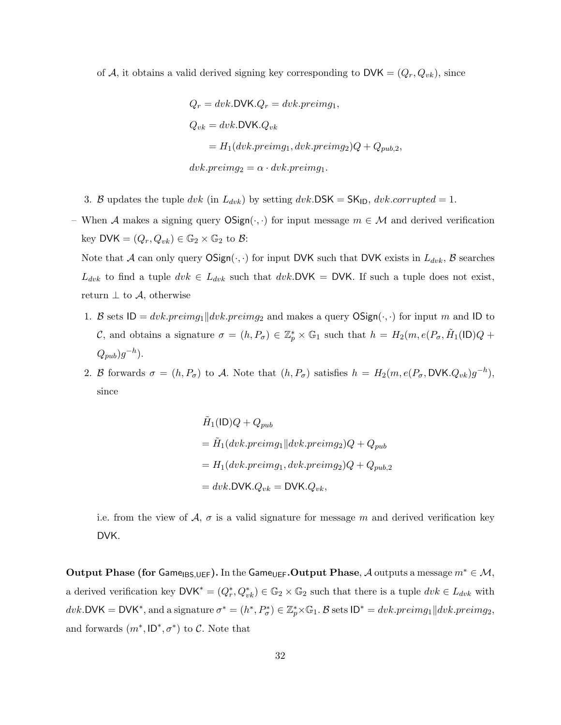of A, it obtains a valid derived signing key corresponding to  $\mathsf{DVK} = (Q_r, Q_{vk})$ , since

$$
Q_r = dvk. \text{DVK}.Q_r = dvk. \text{preimg}_1,
$$
  
\n
$$
Q_{vk} = dvk. \text{DVK}.Q_{vk}
$$
  
\n
$$
= H_1(dvk. \text{preimg}_1, dvk. \text{preimg}_2)Q + Q_{pub,2},
$$
  
\n
$$
dvk. \text{preimg}_2 = \alpha \cdot dvk. \text{preimg}_1.
$$

3. B updates the tuple dvk (in  $L_{dvk}$ ) by setting dvk.DSK = SK<sub>ID</sub>, dvk.corrupted = 1.

– When A makes a signing query  $OSign(\cdot, \cdot)$  for input message  $m \in \mathcal{M}$  and derived verification key DVK =  $(Q_r, Q_{vk}) \in \mathbb{G}_2 \times \mathbb{G}_2$  to  $\mathcal{B}$ :

Note that A can only query  $OSign(\cdot, \cdot)$  for input DVK such that DVK exists in  $L_{dvk}$ , B searches  $L_{dvk}$  to find a tuple  $dvk \in L_{dvk}$  such that  $dvk$ . DVK = DVK. If such a tuple does not exist, return  $\perp$  to  $\mathcal{A}$ , otherwise

- 1. B sets  $ID = dvk-preimg_1||dvk-preimg_2$  and makes a query  $OSign(\cdot, \cdot)$  for input m and ID to C, and obtains a signature  $\sigma = (h, P_{\sigma}) \in \mathbb{Z}_p^* \times \mathbb{G}_1$  such that  $h = H_2(m, e(P_{\sigma}, \tilde{H}_1(\mathsf{ID})Q + \mathsf{I}_2(\mathsf{ID})Q)$  $(Q_{pub})g^{-h}).$
- 2. B forwards  $\sigma = (h, P_{\sigma})$  to A. Note that  $(h, P_{\sigma})$  satisfies  $h = H_2(m, e(P_{\sigma}, DVK.Q_{vk})g^{-h}),$ since

$$
\tilde{H}_1(\text{ID})Q + Q_{pub}
$$
\n
$$
= \tilde{H}_1(dvk.preimg_1||dvk.preimg_2)Q + Q_{pub}
$$
\n
$$
= H_1(dvk.preimg_1, dvk.preimg_2)Q + Q_{pub,2}
$$
\n
$$
= dvk. \text{DVK}.Q_{vk} = \text{DVK}.Q_{vk},
$$

i.e. from the view of  $\mathcal{A}, \sigma$  is a valid signature for message m and derived verification key DVK.

Output Phase (for Game<sub>IBS,UEF</sub>). In the Game<sub>UEF</sub>. Output Phase, A outputs a message  $m^* \in \mathcal{M}$ , a derived verification key  $\mathsf{DVK}^* = (Q_r^*, Q_{vk}^*) \in \mathbb{G}_2 \times \mathbb{G}_2$  such that there is a tuple  $dvk \in L_{dvk}$  with  $dvk. \text{DVK} = \text{DVK}^*$ , and a signature  $\sigma^* = (h^*, P^*_{\sigma}) \in \mathbb{Z}_p^* \times \mathbb{G}_1$ . B sets  $\text{ID}^* = dvk. preimg_1 \| dvk. preimg_2$ , and forwards  $(m^*, \mathsf{ID}^*, \sigma^*)$  to C. Note that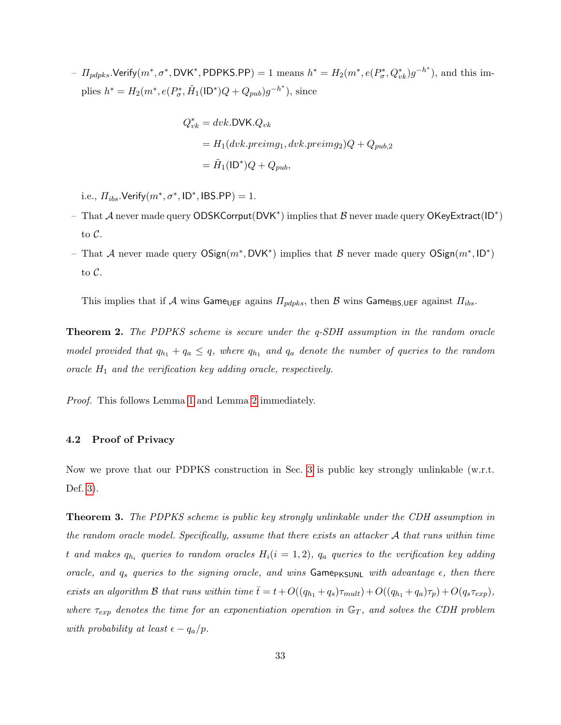$-I_{pdpks}$ .Verify $(m^*, \sigma^*, \textsf{DVK}^*, \textsf{PDPKS}. \textsf{PP}) = 1$  means  $h^* = H_2(m^*, e(P_{\sigma}^*, Q_{vk}^*) g^{-h^*}),$  and this implies  $h^* = H_2(m^*, e(P^*_{\sigma}, \tilde{H}_1(\text{ID}^*)Q + Q_{pub})g^{-h^*}),$  since

$$
Q_{vk}^* = dvk. \text{DVK}. Q_{vk}
$$
  
=  $H_1(dvk. preimg_1, dvk. preimg_2)Q + Q_{pub,2}$   
=  $\tilde{H}_1(\text{ID}^*)Q + Q_{pub},$ 

i.e.,  $\Pi_{ibs}$ .Verify $(m^*, \sigma^*, \mathsf{ID}^*, \mathsf{IBS}.\mathsf{PP}) = 1$ .

- That A never made query ODSKCorrput(DVK<sup>\*</sup>) implies that B never made query OKeyExtract(ID<sup>\*</sup>) to C.
- That A never made query  $OSign(m^*, DVK^*)$  implies that B never made query  $OSign(m^*, ID^*)$ to C.

This implies that if A wins Game<sub>UEF</sub> agains  $\Pi_{pdpks}$ , then B wins Game<sub>IBS,UEF</sub> against  $\Pi_{ibs}$ .

Theorem 2. The PDPKS scheme is secure under the q-SDH assumption in the random oracle model provided that  $q_{h_1} + q_a \leq q$ , where  $q_{h_1}$  and  $q_a$  denote the number of queries to the random oracle  $H_1$  and the verification key adding oracle, respectively.

Proof. This follows Lemma [1](#page-28-0) and Lemma [2](#page-29-0) immediately.

#### <span id="page-32-0"></span>4.2 Proof of Privacy

<span id="page-32-1"></span>Now we prove that our PDPKS construction in Sec. [3](#page-23-0) is public key strongly unlinkable (w.r.t. Def. [3\)](#page-21-0).

Theorem 3. The PDPKS scheme is public key strongly unlinkable under the CDH assumption in the random oracle model. Specifically, assume that there exists an attacker A that runs within time t and makes  $q_{h_i}$  queries to random oracles  $H_i(i = 1, 2)$ ,  $q_a$  queries to the verification key adding oracle, and  $q_s$  queries to the signing oracle, and wins GamePKSUNL with advantage  $\epsilon$ , then there exists an algorithm B that runs within time  $\bar{t} = t + O((q_{h_1} + q_s)\tau_{mult}) + O((q_{h_1} + q_a)\tau_p) + O(q_s\tau_{exp}),$ where  $\tau_{exp}$  denotes the time for an exponentiation operation in  $\mathbb{G}_T$ , and solves the CDH problem with probability at least  $\epsilon - q_a/p$ .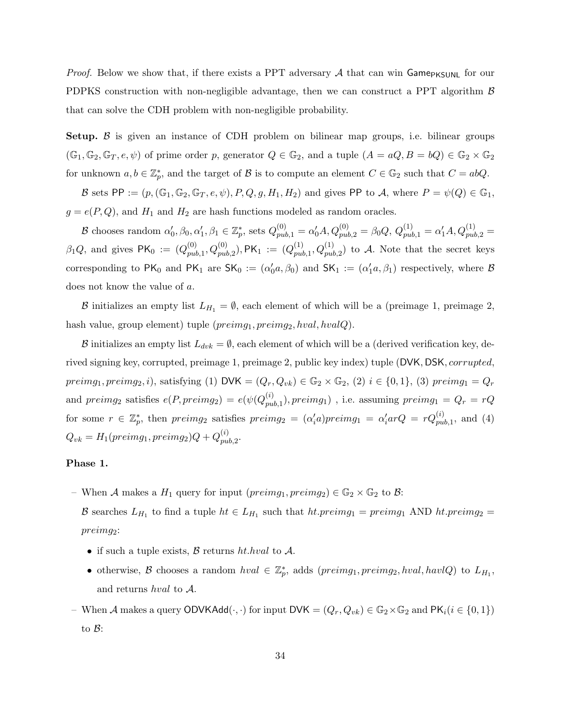*Proof.* Below we show that, if there exists a PPT adversary A that can win Game<sub>PKSUNL</sub> for our PDPKS construction with non-negligible advantage, then we can construct a PPT algorithm  $\beta$ that can solve the CDH problem with non-negligible probability.

**Setup.**  $\beta$  is given an instance of CDH problem on bilinear map groups, i.e. bilinear groups  $(\mathbb{G}_1, \mathbb{G}_2, \mathbb{G}_T, e, \psi)$  of prime order p, generator  $Q \in \mathbb{G}_2$ , and a tuple  $(A = aQ, B = bQ) \in \mathbb{G}_2 \times \mathbb{G}_2$ for unknown  $a, b \in \mathbb{Z}_p^*$ , and the target of  $\mathcal{B}$  is to compute an element  $C \in \mathbb{G}_2$  such that  $C = abQ$ .

B sets PP :=  $(p, (\mathbb{G}_1, \mathbb{G}_2, \mathbb{G}_T, e, \psi), P, Q, g, H_1, H_2)$  and gives PP to A, where  $P = \psi(Q) \in \mathbb{G}_1$ ,  $g = e(P, Q)$ , and  $H_1$  and  $H_2$  are hash functions modeled as random oracles.

 $\mathcal B$  chooses random  $\alpha'_0, \beta_0, \alpha'_1, \beta_1 \in \mathbb{Z}_p^*$ , sets  $Q_{pub,1}^{(0)} = \alpha'_0 A, Q_{pub,2}^{(0)} = \beta_0 Q, Q_{pub,1}^{(1)} = \alpha'_1 A, Q_{pub,2}^{(1)} = \alpha'_1 A$  $\beta_1 Q$ , and gives PK<sub>0</sub> :=  $(Q_{nul}^{(0)})$  $p_{ub,1}^{(0)}, Q_{pub,2}^{(0)}),$  PK $_1$   $\,:=\, (Q_{pul}^{(1)})$  $(p_{pub,1}^{(1)}, Q_{pub,2}^{(1)})$  to A. Note that the secret keys corresponding to  $PK_0$  and  $PK_1$  are  $SK_0 := (\alpha'_0 a, \beta_0)$  and  $SK_1 := (\alpha'_1 a, \beta_1)$  respectively, where B does not know the value of a.

B initializes an empty list  $L_{H_1} = \emptyset$ , each element of which will be a (preimage 1, preimage 2, hash value, group element) tuple  $(preimg_1, preimg_2, hval, hvalQ)$ .

B initializes an empty list  $L_{dvk} = \emptyset$ , each element of which will be a (derived verification key, derived signing key, corrupted, preimage 1, preimage 2, public key index) tuple (DVK, DSK, corrupted, preimg<sub>1</sub>, preimg<sub>2</sub>, i), satisfying (1) DVK =  $(Q_r, Q_{vk}) \in \mathbb{G}_2 \times \mathbb{G}_2$ , (2)  $i \in \{0, 1\}$ , (3) preimg<sub>1</sub> =  $Q_r$ and preimg<sub>2</sub> satisfies  $e(P, preimg_2) = e(\psi(Q_{m}^{(i)})$  $p_{pub,1}^{(i)}$ ),  $preimg_1)$  , i.e. assuming  $preimg_1 = Q_r = rQ_r$ for some  $r \in \mathbb{Z}_p^*$ , then  $preimg_2$  satisfies  $preimg_2 = (\alpha'_i a)preimg_1 = \alpha'_i arQ = rQ_{pub,1}^{(i)}$ , and (4)  $Q_{vk} = H_1(preimg_1, preimg_2)Q + Q_{nu}^{(i)}$  $_{pub, 2}^{\left( \imath\right) }.$ 

## Phase 1.

– When A makes a  $H_1$  query for input  $(preimg_1, preimg_2) \in \mathbb{G}_2 \times \mathbb{G}_2$  to  $\mathcal{B}$ :

B searches  $L_{H_1}$  to find a tuple  $ht \in L_{H_1}$  such that  $ht:preimg_1 = preimg_1$  AND  $ht:preimg_2 =$ preimg2:

- if such a tuple exists,  $\beta$  returns ht.hval to  $\mathcal{A}$ .
- otherwise, B chooses a random  $hval \in \mathbb{Z}_p^*$ , adds  $(preimg_1, preimg_2, hval, havlQ)$  to  $L_{H_1}$ , and returns hval to A.
- When A makes a query ODVKAdd $(\cdot, \cdot)$  for input DVK =  $(Q_r, Q_{vk}) \in \mathbb{G}_2 \times \mathbb{G}_2$  and PK<sub>i</sub> $(i \in \{0, 1\})$ to B: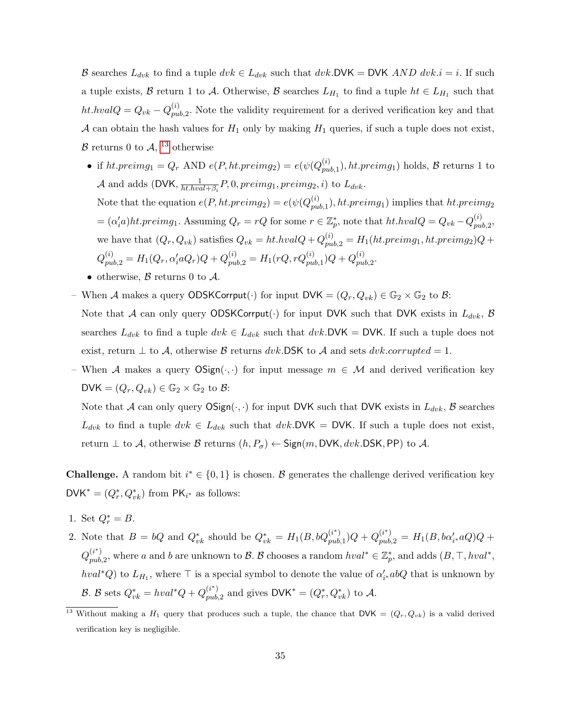B searches  $L_{dvk}$  to find a tuple  $dvk \in L_{dvk}$  such that  $dvk$ . DVK = DVK AND  $dvk$ . i = i. If such a tuple exists,  $\beta$  return 1 to A. Otherwise,  $\beta$  searches  $L_{H_1}$  to find a tuple  $ht \in L_{H_1}$  such that ht.hval $Q = Q_{vk} - Q_{pu}^{(i)}$  $p_{ub,2}^{(i)}$ . Note the validity requirement for a derived verification key and that A can obtain the hash values for  $H_1$  only by making  $H_1$  queries, if such a tuple does not exist,  $\mathcal B$  returns 0 to  $\mathcal A$ , <sup>[13](#page-34-0)</sup> otherwise

- if ht.preimg<sub>1</sub> =  $Q_r$  AND  $e(P, ht.preimg_2) = e(\psi(Q_{mu}^{(i)})$  $p_{pub,1}^{(i)}$ , ht.preimg<sub>1</sub>) holds, B returns 1 to A and adds (DVK,  $\frac{1}{b^t h v g}$  $\frac{1}{ht.hval+\beta_i}P,0, preimg_1, preimg_2, i) \text{ to } L_{dvk}.$ Note that the equation  $e(P, ht.preimg_2) = e(\psi(Q_{nu}^{(i)}))$  $p_{pub,1}^{(i)}$ ), ht.preimg<sub>1</sub>) implies that ht.preimg<sub>2</sub>  $= (\alpha'_i a)ht.preimg_1.$  Assuming  $Q_r = rQ$  for some  $r \in \mathbb{Z}_p^*$ , note that  $ht. hvalQ = Q_{vk} - Q_{pu}^{(i)}$  $_{pub, 2}^{\left( \imath\right) },$ we have that  $(Q_r, Q_{vk})$  satisfies  $Q_{vk} = ht.hvalQ + Q_{pub,2}^{(i)} = H_1(ht.preimg_1, ht.preimg_2)Q +$  $Q_{pub,2}^{(i)} = H_1(Q_r, \alpha_i'aQ_r)Q + Q_{pub,2}^{(i)} = H_1(rQ, rQ_{pub,1}^{(i)})Q + Q_{pu}^{(i)}$  $_{pub, 2}^{\left( \imath\right) }.$
- otherwise,  $\beta$  returns 0 to  $\mathcal{A}$ .
- When A makes a query ODSKCorrput(·) for input  $\mathsf{DVK} = (Q_r, Q_{vk}) \in \mathbb{G}_2 \times \mathbb{G}_2$  to B: Note that A can only query ODSKCorrput(.) for input DVK such that DVK exists in  $L_{dvk}$ , B searches  $L_{dvk}$  to find a tuple  $dvk \in L_{dvk}$  such that  $dvk$ . DVK = DVK. If such a tuple does not exist, return  $\perp$  to A, otherwise B returns dvk.DSK to A and sets dvk.corrupted = 1.
- When A makes a query  $OSign(\cdot, \cdot)$  for input message  $m \in \mathcal{M}$  and derived verification key DVK =  $(Q_r, Q_{vk}) \in \mathbb{G}_2 \times \mathbb{G}_2$  to  $\mathcal{B}$ :

Note that A can only query  $OSign(\cdot, \cdot)$  for input DVK such that DVK exists in  $L_{dvk}$ , B searches  $L_{dvk}$  to find a tuple  $dvk \in L_{dvk}$  such that  $dvk$ . DVK = DVK. If such a tuple does not exist, return  $\perp$  to A, otherwise B returns  $(h, P_{\sigma}) \leftarrow$  Sign $(m, DVK, dvk.DSK, PP)$  to A.

**Challenge.** A random bit  $i^* \in \{0,1\}$  is chosen. B generates the challenge derived verification key  $\mathsf{DVK}^* = (Q_r^*, Q_{vk}^*)$  from  $\mathsf{PK}_{i^*}$  as follows:

- 1. Set  $Q_r^* = B$ .
- 2. Note that  $B = bQ$  and  $Q_{vk}^*$  should be  $Q_{vk}^* = H_1(B, bQ_{pub}^{(i^*)})$  $\binom{(i^{*})}{pub,1}Q + Q_{pub,2}^{(i^{*})} = H_{1}(B, b\alpha'_{i^{*}}aQ)Q +$  $Q_{m\nu}^{(i^{*})}$  $(i^*)$ , where a and b are unknown to B. B chooses a random  $hval^* \in \mathbb{Z}_p^*$ , and adds  $(B, \top, hval^*,$  $hval^*Q$ ) to  $L_{H_1}$ , where  $\top$  is a special symbol to denote the value of  $\alpha'_{i*}abQ$  that is unknown by B. B sets  $Q_{vk}^* = hval^*Q + Q_{pub}^{(i^*)}$  $p_{ub,2}^{(i^*)}$  and gives  $\mathsf{DVK}^* = (Q_r^*, Q_{vk}^*)$  to A.

<span id="page-34-0"></span><sup>&</sup>lt;sup>13</sup> Without making a  $H_1$  query that produces such a tuple, the chance that DVK =  $(Q_r, Q_{vk})$  is a valid derived verification key is negligible.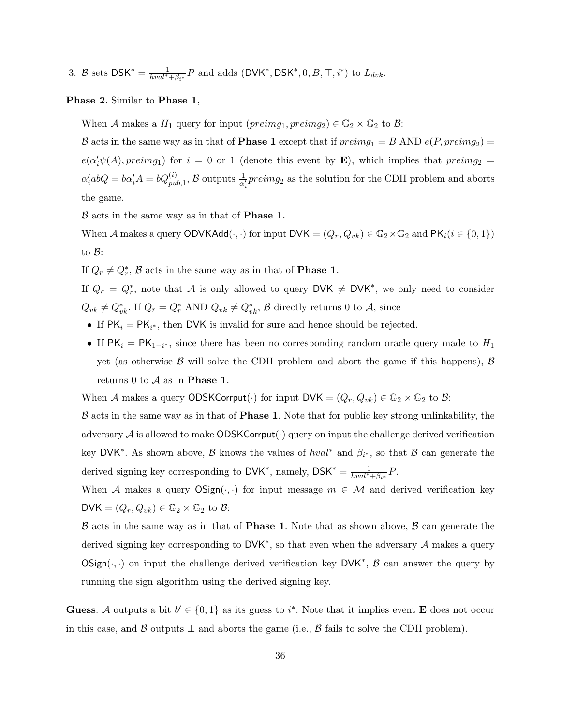3. B sets  $DSK^* = \frac{1}{hval^* + \beta_{i^*}}P$  and adds  $(DVK^*, DSK^*, 0, B, \top, i^*)$  to  $L_{dvk}$ .

#### Phase 2. Similar to Phase 1,

– When A makes a  $H_1$  query for input  $(\text{preimg}_1, \text{preimg}_2) \in \mathbb{G}_2 \times \mathbb{G}_2$  to  $\mathcal{B}$ :

B acts in the same way as in that of **Phase 1** except that if  $preimg_1 = B$  AND  $e(P, preimg_2)$  $e(\alpha'_i\psi(A),preimg_1)$  for  $i=0$  or 1 (denote this event by **E**), which implies that  $preimg_2 =$  $\alpha'_i$ ab $Q = b\alpha'_i A = bQ^{(i)}_{pub,1}$ ,  $B$  outputs  $\frac{1}{\alpha'_i}$ *preimg*<sub>2</sub> as the solution for the CDH problem and aborts the game.

 $\beta$  acts in the same way as in that of **Phase 1**.

– When *A* makes a query ODVKAdd $(·, ·)$  for input DVK =  $(Q_r, Q_{vk}) \in \mathbb{G}_2 \times \mathbb{G}_2$  and PK<sub>i</sub>( $i \in \{0, 1\}$ ) to B:

If  $Q_r \neq Q^*_r$ ,  $\mathcal{B}$  acts in the same way as in that of **Phase 1**.

If  $Q_r = Q_r^*$ , note that A is only allowed to query DVK  $\neq$  DVK<sup>\*</sup>, we only need to consider  $Q_{vk} \neq Q_{vk}^*$ . If  $Q_r = Q_r^*$  AND  $Q_{vk} \neq Q_{vk}^*$ ,  $\mathcal{B}$  directly returns 0 to  $\mathcal{A}$ , since

- If  $PK_i = PK_{i^*}$ , then DVK is invalid for sure and hence should be rejected.
- If  $PK_i = PK_{1-i^*}$ , since there has been no corresponding random oracle query made to  $H_1$ yet (as otherwise  $\beta$  will solve the CDH problem and abort the game if this happens),  $\beta$ returns 0 to  $A$  as in **Phase 1**.
- When A makes a query ODSKCorrput(·) for input  $DVK = (Q_r, Q_{vk}) \in \mathbb{G}_2 \times \mathbb{G}_2$  to B:
- $\beta$  acts in the same way as in that of **Phase 1**. Note that for public key strong unlinkability, the adversary  $A$  is allowed to make  $ODSKCorrput(\cdot)$  query on input the challenge derived verification key DVK<sup>\*</sup>. As shown above,  $\beta$  knows the values of  $hval^*$  and  $\beta_{i^*}$ , so that  $\beta$  can generate the derived signing key corresponding to  $\mathsf{DVK}^*$ , namely,  $\mathsf{DSK}^* = \frac{1}{hval^* + \beta_{i^*}}P$ .
- When A makes a query  $OSign(\cdot, \cdot)$  for input message  $m \in \mathcal{M}$  and derived verification key DVK =  $(Q_r, Q_{vk}) \in \mathbb{G}_2 \times \mathbb{G}_2$  to  $\mathcal{B}$ :

 $\beta$  acts in the same way as in that of **Phase 1**. Note that as shown above,  $\beta$  can generate the derived signing key corresponding to  $DVK^*$ , so that even when the adversary  $\mathcal A$  makes a query  $OSign(\cdot, \cdot)$  on input the challenge derived verification key DVK<sup>\*</sup>,  $\beta$  can answer the query by running the sign algorithm using the derived signing key.

**Guess.** A outputs a bit  $b' \in \{0,1\}$  as its guess to i<sup>\*</sup>. Note that it implies event **E** does not occur in this case, and B outputs  $\perp$  and aborts the game (i.e., B fails to solve the CDH problem).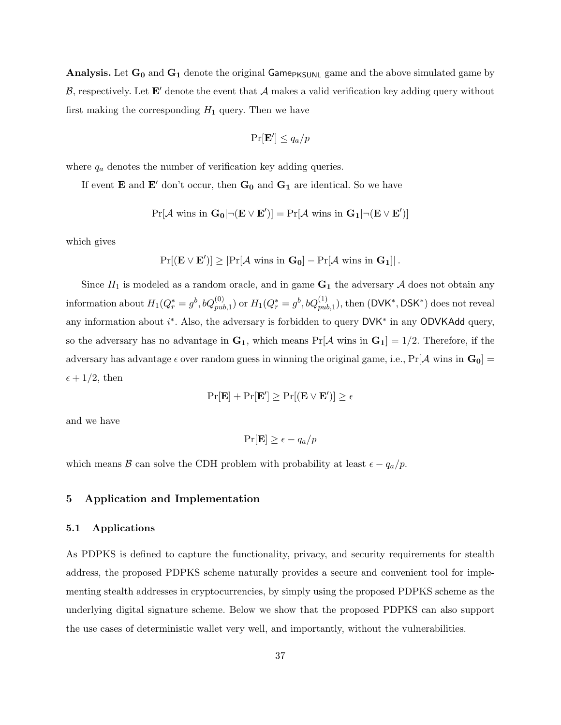**Analysis.** Let  $G_0$  and  $G_1$  denote the original Game<sub>PKSUNL</sub> game and the above simulated game by  $\mathcal{B}$ , respectively. Let  $\mathbf{E}'$  denote the event that  $\mathcal{A}$  makes a valid verification key adding query without first making the corresponding  $H_1$  query. Then we have

$$
\Pr[\mathbf{E}'] \le q_a/p
$$

where  $q_a$  denotes the number of verification key adding queries.

If event **E** and **E'** don't occur, then  $G_0$  and  $G_1$  are identical. So we have

$$
\Pr[\mathcal{A} \text{ wins in } \mathbf{G}_0 | \neg(\mathbf{E} \vee \mathbf{E}')] = \Pr[\mathcal{A} \text{ wins in } \mathbf{G}_1 | \neg(\mathbf{E} \vee \mathbf{E}')] \\
$$

which gives

$$
\Pr[(\mathbf{E} \vee \mathbf{E}')] \geq |\Pr[\mathcal{A} \text{ wins in } \mathbf{G}_0] - \Pr[\mathcal{A} \text{ wins in } \mathbf{G}_1]| \,.
$$

Since  $H_1$  is modeled as a random oracle, and in game  $G_1$  the adversary A does not obtain any information about  $H_1(Q_r^*=g^b,bQ_{pub,1}^{(0)})$  or  $H_1(Q_r^*=g^b,bQ_{pub,1}^{(1)})$ , then  $(\mathsf{DVK^*},\mathsf{DSK^*})$  does not reveal any information about  $i^*$ . Also, the adversary is forbidden to query DVK<sup>\*</sup> in any ODVKAdd query, so the adversary has no advantage in  $G_1$ , which means  $Pr[A \text{ wins in } G_1] = 1/2$ . Therefore, if the adversary has advantage  $\epsilon$  over random guess in winning the original game, i.e., Pr[A wins in  $G_0$ ] =  $\epsilon + 1/2$ , then

$$
\Pr[\mathbf{E}] + \Pr[\mathbf{E}'] \ge \Pr[(\mathbf{E} \vee \mathbf{E}')] \ge \epsilon
$$

and we have

$$
\Pr[\mathbf{E}] \ge \epsilon - q_a/p
$$

which means B can solve the CDH problem with probability at least  $\epsilon - q_a/p$ .

## <span id="page-36-0"></span>5 Application and Implementation

#### 5.1 Applications

As PDPKS is defined to capture the functionality, privacy, and security requirements for stealth address, the proposed PDPKS scheme naturally provides a secure and convenient tool for implementing stealth addresses in cryptocurrencies, by simply using the proposed PDPKS scheme as the underlying digital signature scheme. Below we show that the proposed PDPKS can also support the use cases of deterministic wallet very well, and importantly, without the vulnerabilities.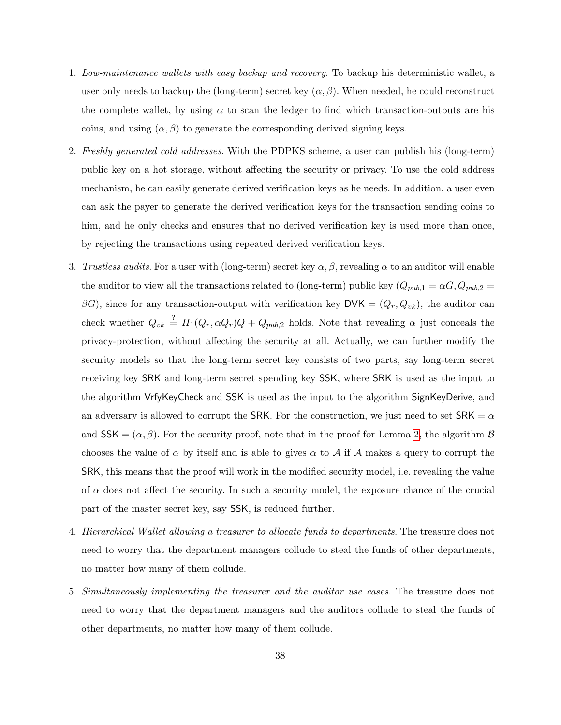- 1. Low-maintenance wallets with easy backup and recovery. To backup his deterministic wallet, a user only needs to backup the (long-term) secret key  $(\alpha, \beta)$ . When needed, he could reconstruct the complete wallet, by using  $\alpha$  to scan the ledger to find which transaction-outputs are his coins, and using  $(\alpha, \beta)$  to generate the corresponding derived signing keys.
- 2. Freshly generated cold addresses. With the PDPKS scheme, a user can publish his (long-term) public key on a hot storage, without affecting the security or privacy. To use the cold address mechanism, he can easily generate derived verification keys as he needs. In addition, a user even can ask the payer to generate the derived verification keys for the transaction sending coins to him, and he only checks and ensures that no derived verification key is used more than once, by rejecting the transactions using repeated derived verification keys.
- 3. Trustless audits. For a user with (long-term) secret key  $\alpha, \beta$ , revealing  $\alpha$  to an auditor will enable the auditor to view all the transactions related to (long-term) public key  $(Q_{pub,1} = \alpha G, Q_{pub,2} =$  $\beta G$ ), since for any transaction-output with verification key DVK =  $(Q_r, Q_{vk})$ , the auditor can check whether  $Q_{vk} \stackrel{?}{=} H_1(Q_r, \alpha Q_r)Q + Q_{pub,2}$  holds. Note that revealing  $\alpha$  just conceals the privacy-protection, without affecting the security at all. Actually, we can further modify the security models so that the long-term secret key consists of two parts, say long-term secret receiving key SRK and long-term secret spending key SSK, where SRK is used as the input to the algorithm VrfyKeyCheck and SSK is used as the input to the algorithm SignKeyDerive, and an adversary is allowed to corrupt the SRK. For the construction, we just need to set  $SRK = \alpha$ and  $SSK = (\alpha, \beta)$ . For the security proof, note that in the proof for Lemma [2,](#page-29-0) the algorithm  $\beta$ chooses the value of  $\alpha$  by itself and is able to gives  $\alpha$  to  $\mathcal A$  if  $\mathcal A$  makes a query to corrupt the SRK, this means that the proof will work in the modified security model, i.e. revealing the value of  $\alpha$  does not affect the security. In such a security model, the exposure chance of the crucial part of the master secret key, say SSK, is reduced further.
- 4. Hierarchical Wallet allowing a treasurer to allocate funds to departments. The treasure does not need to worry that the department managers collude to steal the funds of other departments, no matter how many of them collude.
- 5. Simultaneously implementing the treasurer and the auditor use cases. The treasure does not need to worry that the department managers and the auditors collude to steal the funds of other departments, no matter how many of them collude.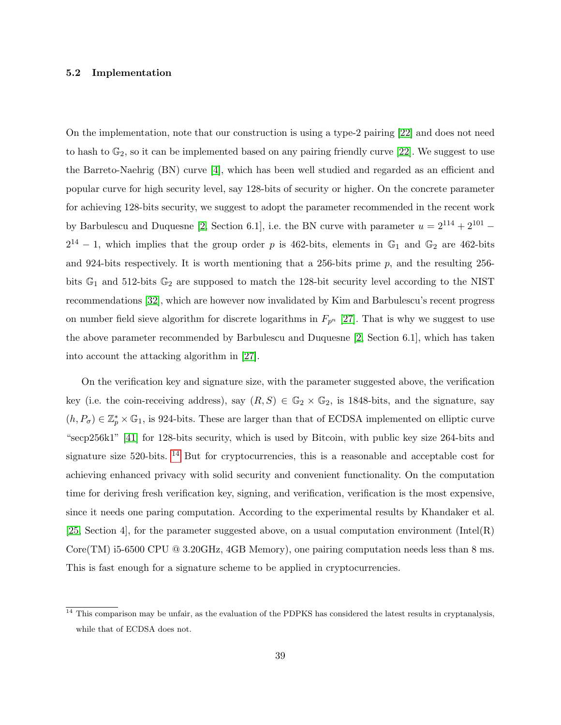#### 5.2 Implementation

On the implementation, note that our construction is using a type-2 pairing [\[22\]](#page-40-19) and does not need to hash to  $\mathbb{G}_2$ , so it can be implemented based on any pairing friendly curve [\[22\]](#page-40-19). We suggest to use the Barreto-Naehrig (BN) curve [\[4\]](#page-39-5), which has been well studied and regarded as an efficient and popular curve for high security level, say 128-bits of security or higher. On the concrete parameter for achieving 128-bits security, we suggest to adopt the parameter recommended in the recent work by Barbulescu and Duquesne [\[2,](#page-39-6) Section 6.1], i.e. the BN curve with parameter  $u = 2^{114} + 2^{101} 2^{14} - 1$ , which implies that the group order p is 462-bits, elements in  $\mathbb{G}_1$  and  $\mathbb{G}_2$  are 462-bits and 924-bits respectively. It is worth mentioning that a 256-bits prime p, and the resulting 256 bits  $\mathbb{G}_1$  and 512-bits  $\mathbb{G}_2$  are supposed to match the 128-bit security level according to the NIST recommendations [\[32\]](#page-41-15), which are however now invalidated by Kim and Barbulescu's recent progress on number field sieve algorithm for discrete logarithms in  $F_{p^n}$  [\[27\]](#page-40-20). That is why we suggest to use the above parameter recommended by Barbulescu and Duquesne [\[2,](#page-39-6) Section 6.1], which has taken into account the attacking algorithm in [\[27\]](#page-40-20).

On the verification key and signature size, with the parameter suggested above, the verification key (i.e. the coin-receiving address), say  $(R, S) \in \mathbb{G}_2 \times \mathbb{G}_2$ , is 1848-bits, and the signature, say  $(h, P_{\sigma}) \in \mathbb{Z}_p^* \times \mathbb{G}_1$ , is 924-bits. These are larger than that of ECDSA implemented on elliptic curve "secp256k1" [\[41\]](#page-41-16) for 128-bits security, which is used by Bitcoin, with public key size 264-bits and signature size 520-bits. <sup>[14](#page-38-0)</sup> But for cryptocurrencies, this is a reasonable and acceptable cost for achieving enhanced privacy with solid security and convenient functionality. On the computation time for deriving fresh verification key, signing, and verification, verification is the most expensive, since it needs one paring computation. According to the experimental results by Khandaker et al.  $[25, Section 4]$  $[25, Section 4]$ , for the parameter suggested above, on a usual computation environment (Intel(R) Core(TM) i5-6500 CPU @ 3.20GHz, 4GB Memory), one pairing computation needs less than 8 ms. This is fast enough for a signature scheme to be applied in cryptocurrencies.

<span id="page-38-0"></span> $14$  This comparison may be unfair, as the evaluation of the PDPKS has considered the latest results in cryptanalysis, while that of ECDSA does not.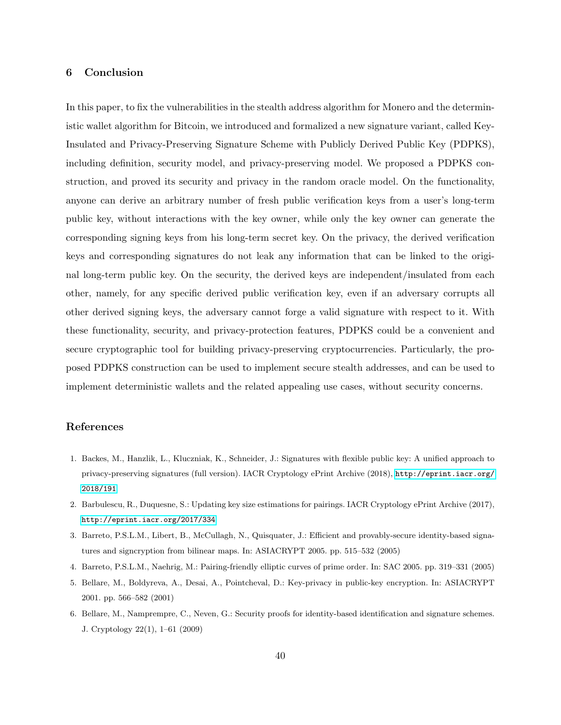## <span id="page-39-4"></span>6 Conclusion

In this paper, to fix the vulnerabilities in the stealth address algorithm for Monero and the deterministic wallet algorithm for Bitcoin, we introduced and formalized a new signature variant, called Key-Insulated and Privacy-Preserving Signature Scheme with Publicly Derived Public Key (PDPKS), including definition, security model, and privacy-preserving model. We proposed a PDPKS construction, and proved its security and privacy in the random oracle model. On the functionality, anyone can derive an arbitrary number of fresh public verification keys from a user's long-term public key, without interactions with the key owner, while only the key owner can generate the corresponding signing keys from his long-term secret key. On the privacy, the derived verification keys and corresponding signatures do not leak any information that can be linked to the original long-term public key. On the security, the derived keys are independent/insulated from each other, namely, for any specific derived public verification key, even if an adversary corrupts all other derived signing keys, the adversary cannot forge a valid signature with respect to it. With these functionality, security, and privacy-protection features, PDPKS could be a convenient and secure cryptographic tool for building privacy-preserving cryptocurrencies. Particularly, the proposed PDPKS construction can be used to implement secure stealth addresses, and can be used to implement deterministic wallets and the related appealing use cases, without security concerns.

#### References

- <span id="page-39-1"></span>1. Backes, M., Hanzlik, L., Kluczniak, K., Schneider, J.: Signatures with flexible public key: A unified approach to privacy-preserving signatures (full version). IACR Cryptology ePrint Archive (2018), [http://eprint.iacr.org/](http://eprint.iacr.org/2018/191) [2018/191](http://eprint.iacr.org/2018/191)
- <span id="page-39-6"></span>2. Barbulescu, R., Duquesne, S.: Updating key size estimations for pairings. IACR Cryptology ePrint Archive (2017), <http://eprint.iacr.org/2017/334>
- <span id="page-39-3"></span>3. Barreto, P.S.L.M., Libert, B., McCullagh, N., Quisquater, J.: Efficient and provably-secure identity-based signatures and signcryption from bilinear maps. In: ASIACRYPT 2005. pp. 515–532 (2005)
- <span id="page-39-5"></span><span id="page-39-0"></span>4. Barreto, P.S.L.M., Naehrig, M.: Pairing-friendly elliptic curves of prime order. In: SAC 2005. pp. 319–331 (2005)
- 5. Bellare, M., Boldyreva, A., Desai, A., Pointcheval, D.: Key-privacy in public-key encryption. In: ASIACRYPT 2001. pp. 566–582 (2001)
- <span id="page-39-2"></span>6. Bellare, M., Namprempre, C., Neven, G.: Security proofs for identity-based identification and signature schemes. J. Cryptology 22(1), 1–61 (2009)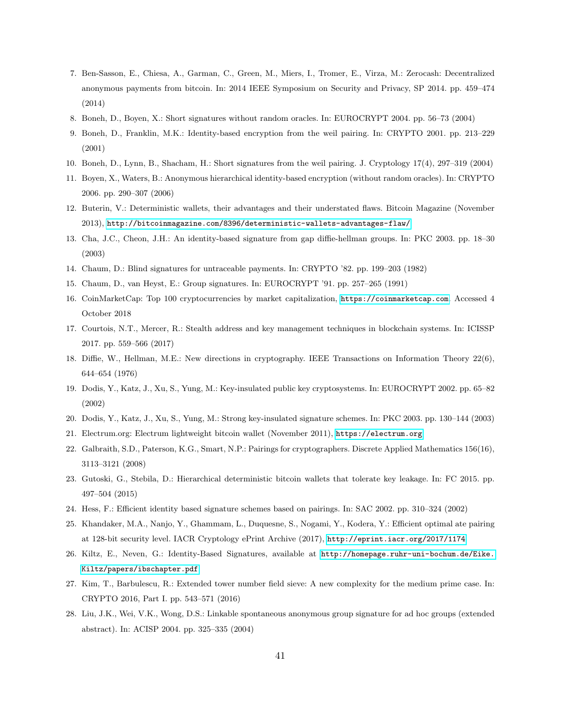- <span id="page-40-11"></span>7. Ben-Sasson, E., Chiesa, A., Garman, C., Green, M., Miers, I., Tromer, E., Virza, M.: Zerocash: Decentralized anonymous payments from bitcoin. In: 2014 IEEE Symposium on Security and Privacy, SP 2014. pp. 459–474 (2014)
- <span id="page-40-18"></span>8. Boneh, D., Boyen, X.: Short signatures without random oracles. In: EUROCRYPT 2004. pp. 56–73 (2004)
- <span id="page-40-12"></span>9. Boneh, D., Franklin, M.K.: Identity-based encryption from the weil pairing. In: CRYPTO 2001. pp. 213–229 (2001)
- <span id="page-40-17"></span>10. Boneh, D., Lynn, B., Shacham, H.: Short signatures from the weil pairing. J. Cryptology 17(4), 297–319 (2004)
- <span id="page-40-13"></span>11. Boyen, X., Waters, B.: Anonymous hierarchical identity-based encryption (without random oracles). In: CRYPTO 2006. pp. 290–307 (2006)
- <span id="page-40-7"></span>12. Buterin, V.: Deterministic wallets, their advantages and their understated flaws. Bitcoin Magazine (November 2013), <http://bitcoinmagazine.com/8396/deterministic-wallets-advantages-flaw/>
- <span id="page-40-15"></span>13. Cha, J.C., Cheon, J.H.: An identity-based signature from gap diffie-hellman groups. In: PKC 2003. pp. 18–30 (2003)
- <span id="page-40-9"></span>14. Chaum, D.: Blind signatures for untraceable payments. In: CRYPTO '82. pp. 199–203 (1982)
- <span id="page-40-10"></span>15. Chaum, D., van Heyst, E.: Group signatures. In: EUROCRYPT '91. pp. 257–265 (1991)
- <span id="page-40-1"></span>16. CoinMarketCap: Top 100 cryptocurrencies by market capitalization, <https://coinmarketcap.com>. Accessed 4 October 2018
- <span id="page-40-8"></span>17. Courtois, N.T., Mercer, R.: Stealth address and key management techniques in blockchain systems. In: ICISSP 2017. pp. 559–566 (2017)
- <span id="page-40-5"></span>18. Diffie, W., Hellman, M.E.: New directions in cryptography. IEEE Transactions on Information Theory 22(6), 644–654 (1976)
- <span id="page-40-3"></span>19. Dodis, Y., Katz, J., Xu, S., Yung, M.: Key-insulated public key cryptosystems. In: EUROCRYPT 2002. pp. 65–82 (2002)
- <span id="page-40-4"></span>20. Dodis, Y., Katz, J., Xu, S., Yung, M.: Strong key-insulated signature schemes. In: PKC 2003. pp. 130–144 (2003)
- <span id="page-40-0"></span>21. Electrum.org: Electrum lightweight bitcoin wallet (November 2011), <https://electrum.org>
- <span id="page-40-19"></span>22. Galbraith, S.D., Paterson, K.G., Smart, N.P.: Pairings for cryptographers. Discrete Applied Mathematics 156(16), 3113–3121 (2008)
- <span id="page-40-2"></span>23. Gutoski, G., Stebila, D.: Hierarchical deterministic bitcoin wallets that tolerate key leakage. In: FC 2015. pp. 497–504 (2015)
- <span id="page-40-14"></span>24. Hess, F.: Efficient identity based signature schemes based on pairings. In: SAC 2002. pp. 310–324 (2002)
- <span id="page-40-21"></span>25. Khandaker, M.A., Nanjo, Y., Ghammam, L., Duquesne, S., Nogami, Y., Kodera, Y.: Efficient optimal ate pairing at 128-bit security level. IACR Cryptology ePrint Archive (2017), <http://eprint.iacr.org/2017/1174>
- <span id="page-40-16"></span>26. Kiltz, E., Neven, G.: Identity-Based Signatures, available at [http://homepage.ruhr-uni-bochum.de/Eike.](http://homepage.ruhr-uni-bochum.de/Eike.Kiltz/papers/ibschapter.pdf) [Kiltz/papers/ibschapter.pdf](http://homepage.ruhr-uni-bochum.de/Eike.Kiltz/papers/ibschapter.pdf).
- <span id="page-40-20"></span>27. Kim, T., Barbulescu, R.: Extended tower number field sieve: A new complexity for the medium prime case. In: CRYPTO 2016, Part I. pp. 543–571 (2016)
- <span id="page-40-6"></span>28. Liu, J.K., Wei, V.K., Wong, D.S.: Linkable spontaneous anonymous group signature for ad hoc groups (extended abstract). In: ACISP 2004. pp. 325–335 (2004)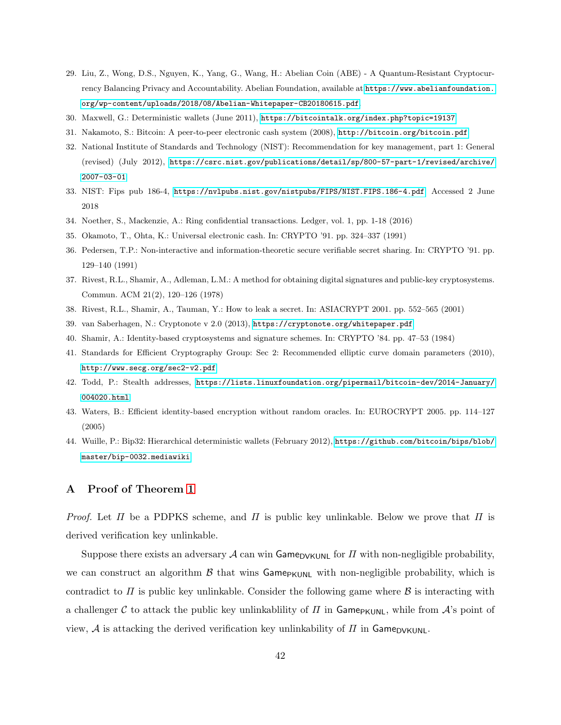- <span id="page-41-0"></span>29. Liu, Z., Wong, D.S., Nguyen, K., Yang, G., Wang, H.: Abelian Coin (ABE) - A Quantum-Resistant Cryptocurrency Balancing Privacy and Accountability. Abelian Foundation, available at [https://www.abelianfoundation.](https://www.abelianfoundation.org/wp-content/uploads/2018/08/Abelian-Whitepaper-CB20180615.pdf) [org/wp-content/uploads/2018/08/Abelian-Whitepaper-CB20180615.pdf](https://www.abelianfoundation.org/wp-content/uploads/2018/08/Abelian-Whitepaper-CB20180615.pdf).
- <span id="page-41-3"></span>30. Maxwell, G.: Deterministic wallets (June 2011), <https://bitcointalk.org/index.php?topic=19137>
- <span id="page-41-1"></span>31. Nakamoto, S.: Bitcoin: A peer-to-peer electronic cash system (2008), <http://bitcoin.org/bitcoin.pdf>
- <span id="page-41-15"></span>32. National Institute of Standards and Technology (NIST): Recommendation for key management, part 1: General (revised) (July 2012), [https://csrc.nist.gov/publications/detail/sp/800-57-part-1/revised/archive/](https://csrc.nist.gov/publications/detail/sp/800-57-part-1/revised/archive/2007-03-01) [2007-03-01](https://csrc.nist.gov/publications/detail/sp/800-57-part-1/revised/archive/2007-03-01)
- <span id="page-41-9"></span>33. NIST: Fips pub 186-4, <https://nvlpubs.nist.gov/nistpubs/FIPS/NIST.FIPS.186-4.pdf>. Accessed 2 June 2018
- <span id="page-41-8"></span>34. Noether, S., Mackenzie, A.: Ring confidential transactions. Ledger, vol. 1, pp. 1-18 (2016)
- <span id="page-41-5"></span>35. Okamoto, T., Ohta, K.: Universal electronic cash. In: CRYPTO '91. pp. 324–337 (1991)
- <span id="page-41-10"></span>36. Pedersen, T.P.: Non-interactive and information-theoretic secure verifiable secret sharing. In: CRYPTO '91. pp. 129–140 (1991)
- <span id="page-41-2"></span>37. Rivest, R.L., Shamir, A., Adleman, L.M.: A method for obtaining digital signatures and public-key cryptosystems. Commun. ACM 21(2), 120–126 (1978)
- <span id="page-41-11"></span>38. Rivest, R.L., Shamir, A., Tauman, Y.: How to leak a secret. In: ASIACRYPT 2001. pp. 552–565 (2001)
- <span id="page-41-6"></span>39. van Saberhagen, N.: Cryptonote v 2.0 (2013), <https://cryptonote.org/whitepaper.pdf>
- <span id="page-41-12"></span>40. Shamir, A.: Identity-based cryptosystems and signature schemes. In: CRYPTO '84. pp. 47–53 (1984)
- <span id="page-41-16"></span>41. Standards for Efficient Cryptography Group: Sec 2: Recommended elliptic curve domain parameters (2010), <http://www.secg.org/sec2-v2.pdf>
- <span id="page-41-7"></span>42. Todd, P.: Stealth addresses, [https://lists.linuxfoundation.org/pipermail/bitcoin-dev/2014-January/](https://lists.linuxfoundation.org/pipermail/bitcoin-dev/2014-January/004020.html) [004020.html](https://lists.linuxfoundation.org/pipermail/bitcoin-dev/2014-January/004020.html)
- <span id="page-41-14"></span>43. Waters, B.: Efficient identity-based encryption without random oracles. In: EUROCRYPT 2005. pp. 114–127 (2005)
- <span id="page-41-4"></span>44. Wuille, P.: Bip32: Hierarchical deterministic wallets (February 2012), [https://github.com/bitcoin/bips/blob/](https://github.com/bitcoin/bips/blob/master/bip-0032.mediawiki) [master/bip-0032.mediawiki](https://github.com/bitcoin/bips/blob/master/bip-0032.mediawiki)

## <span id="page-41-13"></span>A Proof of Theorem [1](#page-22-0)

*Proof.* Let  $\Pi$  be a PDPKS scheme, and  $\Pi$  is public key unlinkable. Below we prove that  $\Pi$  is derived verification key unlinkable.

Suppose there exists an adversary  $\mathcal A$  can win Game<sub>DVKUNL</sub> for  $\Pi$  with non-negligible probability, we can construct an algorithm  $\beta$  that wins Game<sub>PKUNL</sub> with non-negligible probability, which is contradict to  $\Pi$  is public key unlinkable. Consider the following game where  $\beta$  is interacting with a challenger C to attack the public key unlinkability of  $\Pi$  in Game<sub>PKUNL</sub>, while from  $\mathcal{A}$ 's point of view, A is attacking the derived verification key unlinkability of  $\Pi$  in Game<sub>DVKUNL</sub>.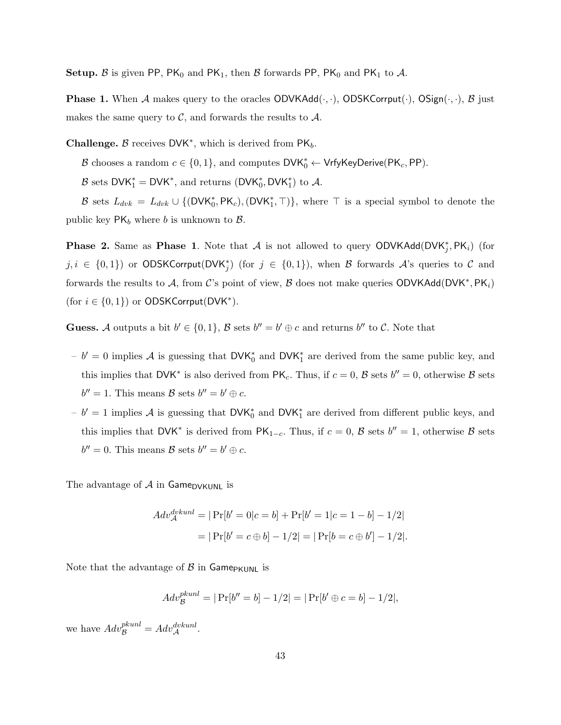**Setup.** B is given PP, PK<sub>0</sub> and PK<sub>1</sub>, then B forwards PP, PK<sub>0</sub> and PK<sub>1</sub> to A.

**Phase 1.** When A makes query to the oracles  $ODVKAdd(\cdot, \cdot)$ ,  $ODSKCorrput(\cdot)$ ,  $OSign(\cdot, \cdot)$ ,  $B$  just makes the same query to  $\mathcal{C}$ , and forwards the results to  $\mathcal{A}$ .

**Challenge.**  $\beta$  receives DVK<sup>\*</sup>, which is derived from PK<sub>b</sub>.

B chooses a random  $c \in \{0, 1\}$ , and computes  $\mathsf{DVK}_0^* \leftarrow \mathsf{VrfyKeyDerive}(\mathsf{PK}_c, \mathsf{PP})$ .

B sets  $DVK_1^* = DVK^*$ , and returns  $(DVK_0^*, DVK_1^*)$  to A.

B sets  $L_{dvk} = L_{dvk} \cup \{(\text{DVK}_0^*, \text{PK}_c), (\text{DVK}_1^*, \top)\}\$ , where  $\top$  is a special symbol to denote the public key  $PK_b$  where b is unknown to  $\beta$ .

**Phase 2.** Same as **Phase 1**. Note that A is not allowed to query ODVKAdd(DVK<sup>\*</sup><sub>j</sub>, PK<sub>i</sub>) (for  $j, i \in \{0,1\}$  or ODSKCorrput(DVK<sup>\*</sup>) (for  $j \in \{0,1\}$ ), when B forwards A's queries to C and forwards the results to A, from C's point of view, B does not make queries ODVKAdd(DVK<sup>\*</sup>, PK<sub>i</sub>) (for  $i \in \{0, 1\}$ ) or ODSKCorrput(DVK<sup>\*</sup>).

**Guess.** A outputs a bit  $b' \in \{0, 1\}$ , B sets  $b'' = b' \oplus c$  and returns  $b''$  to C. Note that

- $b' = 0$  implies A is guessing that DVK<sup>\*</sup><sub>0</sub> and DVK<sup>\*</sup><sub>1</sub> are derived from the same public key, and this implies that DVK<sup>\*</sup> is also derived from  $\mathsf{PK}_c$ . Thus, if  $c = 0$ ,  $\mathcal{B}$  sets  $b'' = 0$ , otherwise  $\mathcal{B}$  sets  $b'' = 1$ . This means  $\mathcal{B}$  sets  $b'' = b' \oplus c$ .
- $b' = 1$  implies A is guessing that DVK<sup>\*</sup><sub>0</sub> and DVK<sup>\*</sup><sub>1</sub> are derived from different public keys, and this implies that DVK<sup>\*</sup> is derived from  $PK_{1-c}$ . Thus, if  $c = 0$ ,  $\beta$  sets  $b'' = 1$ , otherwise  $\beta$  sets  $b'' = 0$ . This means  $\mathcal{B}$  sets  $b'' = b' \oplus c$ .

The advantage of  $A$  in Game<sub>DVKUNL</sub> is

$$
Adv_{\mathcal{A}}^{dvkunl} = |\Pr[b' = 0 | c = b] + \Pr[b' = 1 | c = 1 - b] - \frac{1}{2}|
$$

$$
= |\Pr[b' = c \oplus b] - \frac{1}{2}| = |\Pr[b = c \oplus b'] - \frac{1}{2}|.
$$

Note that the advantage of  $\beta$  in Game<sub>PKUNL</sub> is

 $Adv_{\mathcal{B}}^{pkunl} = |\Pr[b'' = b] - 1/2| = |\Pr[b' \oplus c = b] - 1/2|,$ 

we have  $Adv_{\mathcal{B}}^{pkunl} = Adv_{\mathcal{A}}^{dvkunl}$ .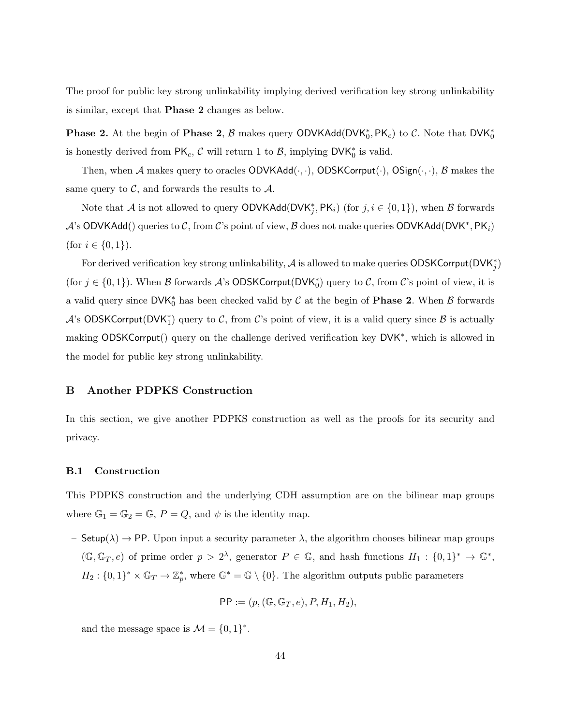The proof for public key strong unlinkability implying derived verification key strong unlinkability is similar, except that Phase 2 changes as below.

**Phase 2.** At the begin of **Phase 2**,  $\beta$  makes query ODVKAdd(DVK<sup>\*</sup><sub>0</sub>, PK<sub>c</sub>) to  $\mathcal{C}$ . Note that DVK<sup>\*</sup><sub>0</sub> is honestly derived from  $PK_c$ ,  $\mathcal{C}$  will return 1 to  $\mathcal{B}$ , implying DVK $_0^*$  is valid.

Then, when A makes query to oracles  $ODVKAdd(\cdot, \cdot)$ ,  $ODSKCorrput(\cdot)$ ,  $OSign(\cdot, \cdot)$ , B makes the same query to  $\mathcal{C}$ , and forwards the results to  $\mathcal{A}$ .

Note that A is not allowed to query  $\mathsf{ODVKAdd}(\mathsf{DVK}_j^*, \mathsf{PK}_i)$  (for  $j, i \in \{0,1\}$ ), when B forwards  $\mathcal{A}$ 's ODVKAdd() queries to  $\mathcal{C}$ , from  $\mathcal{C}$ 's point of view,  $\mathcal{B}$  does not make queries ODVKAdd(DVK<sup>\*</sup>, PK<sub>i</sub>) (for  $i \in \{0, 1\}$ ).

For derived verification key strong unlinkability,  $\mathcal A$  is allowed to make queries  $\mathsf{ODSKCorrput}(\mathsf{DVK}_j^*)$ (for  $j \in \{0,1\}$ ). When B forwards A's ODSKCorrput(DVK<sup>\*</sup><sub>0</sub>) query to C, from C's point of view, it is a valid query since  $\mathsf{DVK}_0^*$  has been checked valid by  $\mathcal C$  at the begin of **Phase 2.** When  $\mathcal B$  forwards A's ODSKCorrput(DVK<sup>\*</sup>) query to C, from C's point of view, it is a valid query since B is actually making ODSKCorrput() query on the challenge derived verification key DVK<sup>\*</sup>, which is allowed in the model for public key strong unlinkability.

#### <span id="page-43-0"></span>B Another PDPKS Construction

In this section, we give another PDPKS construction as well as the proofs for its security and privacy.

#### <span id="page-43-1"></span>B.1 Construction

This PDPKS construction and the underlying CDH assumption are on the bilinear map groups where  $\mathbb{G}_1 = \mathbb{G}_2 = \mathbb{G}$ ,  $P = Q$ , and  $\psi$  is the identity map.

– Setup( $\lambda$ )  $\rightarrow$  PP. Upon input a security parameter  $\lambda$ , the algorithm chooses bilinear map groups  $(\mathbb{G}, \mathbb{G}_T, e)$  of prime order  $p > 2^{\lambda}$ , generator  $P \in \mathbb{G}$ , and hash functions  $H_1 : \{0,1\}^* \to \mathbb{G}^*$ ,  $H_2: \{0,1\}^* \times \mathbb{G}_T \to \mathbb{Z}_p^*$ , where  $\mathbb{G}^* = \mathbb{G} \setminus \{0\}$ . The algorithm outputs public parameters

$$
PP := (p, (\mathbb{G}, \mathbb{G}_T, e), P, H_1, H_2),
$$

and the message space is  $\mathcal{M} = \{0, 1\}^*$ .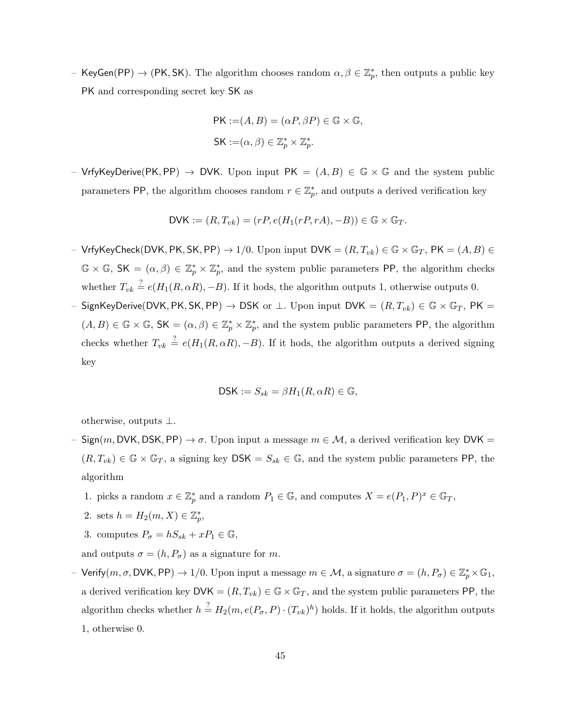- KeyGen(PP)  $\to$  (PK, SK). The algorithm chooses random  $\alpha, \beta \in \mathbb{Z}_p^*$ , then outputs a public key PK and corresponding secret key SK as

$$
PK := (A, B) = (\alpha P, \beta P) \in \mathbb{G} \times \mathbb{G},
$$
  

$$
SK := (\alpha, \beta) \in \mathbb{Z}_p^* \times \mathbb{Z}_p^*.
$$

– VrfyKeyDerive(PK, PP)  $\rightarrow$  DVK. Upon input PK =  $(A, B) \in \mathbb{G} \times \mathbb{G}$  and the system public parameters PP, the algorithm chooses random  $r \in \mathbb{Z}_p^*$ , and outputs a derived verification key

$$
\mathsf{DVK} := (R, T_{vk}) = (rP, e(H_1(rP, rA), -B)) \in \mathbb{G} \times \mathbb{G}_T.
$$

- VrfyKeyCheck(DVK, PK, SK, PP)  $\to 1/0$ . Upon input DVK =  $(R, T_{vk}) \in \mathbb{G} \times \mathbb{G}_T$ , PK =  $(A, B) \in$  $\mathbb{G} \times \mathbb{G}$ ,  $\mathsf{SK} = (\alpha, \beta) \in \mathbb{Z}_p^* \times \mathbb{Z}_p^*$ , and the system public parameters PP, the algorithm checks whether  $T_{vk} \stackrel{?}{=} e(H_1(R, \alpha R), -B)$ . If it hods, the algorithm outputs 1, otherwise outputs 0.
- SignKeyDerive(DVK, PK, SK, PP)  $\rightarrow$  DSK or ⊥. Upon input DVK =  $(R, T_{vk}) \in \mathbb{G} \times \mathbb{G}_T$ , PK =  $(A, B) \in \mathbb{G} \times \mathbb{G}$ ,  $\mathsf{SK} = (\alpha, \beta) \in \mathbb{Z}_p^* \times \mathbb{Z}_p^*$ , and the system public parameters PP, the algorithm checks whether  $T_{vk} \stackrel{?}{=} e(H_1(R, \alpha R), -B)$ . If it hods, the algorithm outputs a derived signing key

$$
\mathsf{DSK} := S_{sk} = \beta H_1(R, \alpha R) \in \mathbb{G},
$$

otherwise, outputs ⊥.

- $Sign(m, DVK, DSK, PP) \rightarrow \sigma$ . Upon input a message  $m \in \mathcal{M}$ , a derived verification key DVK =  $(R, T_{vk}) \in \mathbb{G} \times \mathbb{G}_T$ , a signing key DSK =  $S_{sk} \in \mathbb{G}$ , and the system public parameters PP, the algorithm
	- 1. picks a random  $x \in \mathbb{Z}_p^*$  and a random  $P_1 \in \mathbb{G}$ , and computes  $X = e(P_1, P)^x \in \mathbb{G}_T$ ,
	- 2. sets  $h = H_2(m, X) \in \mathbb{Z}_p^*$ ,
	- 3. computes  $P_{\sigma} = hS_{sk} + xP_1 \in \mathbb{G}$ ,

and outputs  $\sigma = (h, P_{\sigma})$  as a signature for m.

- Verify $(m, \sigma, \text{DVK}, \text{PP}) \rightarrow 1/0$ . Upon input a message  $m \in \mathcal{M}$ , a signature  $\sigma = (h, P_{\sigma}) \in \mathbb{Z}_p^* \times \mathbb{G}_1$ , a derived verification key  $\mathsf{DVK} = (R, T_{vk}) \in \mathbb{G} \times \mathbb{G}_T$ , and the system public parameters PP, the algorithm checks whether  $h \stackrel{?}{=} H_2(m, e(P_\sigma, P) \cdot (T_{vk})^h)$  holds. If it holds, the algorithm outputs 1, otherwise 0.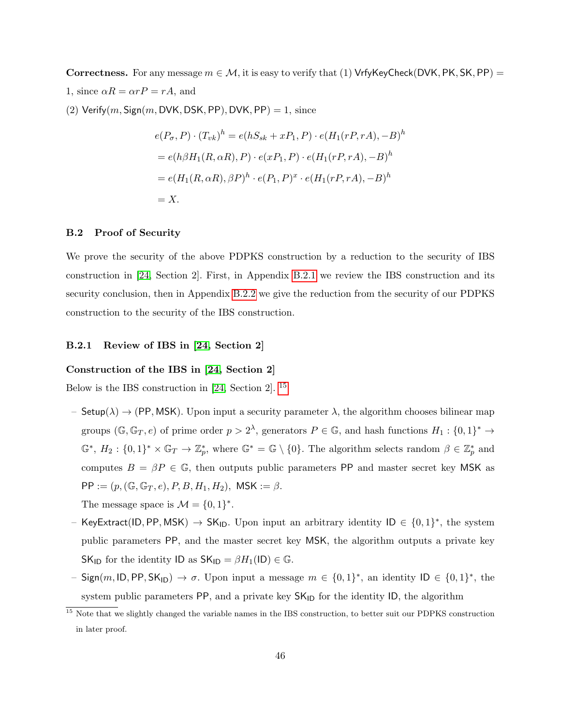Correctness. For any message  $m \in \mathcal{M}$ , it is easy to verify that (1) VrfyKeyCheck(DVK, PK, SK, PP) = 1, since  $\alpha R = \alpha rP = rA$ , and

(2) Verify $(m,$  Sign $(m,$  DVK, DSK, PP $)$ , DVK, PP $) = 1$ , since

$$
e(P_{\sigma}, P) \cdot (T_{vk})^h = e(hS_{sk} + xP_1, P) \cdot e(H_1(rP, rA), -B)^h
$$
  
=  $e(h\beta H_1(R, \alpha R), P) \cdot e(xP_1, P) \cdot e(H_1(rP, rA), -B)^h$   
=  $e(H_1(R, \alpha R), \beta P)^h \cdot e(P_1, P)^x \cdot e(H_1(rP, rA), -B)^h$   
= X.

#### B.2 Proof of Security

We prove the security of the above PDPKS construction by a reduction to the security of IBS construction in [\[24,](#page-40-14) Section 2]. First, in Appendix [B.2.1](#page-45-0) we review the IBS construction and its security conclusion, then in Appendix [B.2.2](#page-46-0) we give the reduction from the security of our PDPKS construction to the security of the IBS construction.

#### <span id="page-45-0"></span>B.2.1 Review of IBS in [\[24,](#page-40-14) Section 2]

## Construction of the IBS in [\[24,](#page-40-14) Section 2]

Below is the IBS construction in [\[24,](#page-40-14) Section 2]. [15](#page-45-1)

- Setup( $\lambda$ )  $\rightarrow$  (PP, MSK). Upon input a security parameter  $\lambda$ , the algorithm chooses bilinear map groups  $(\mathbb{G}, \mathbb{G}_T, e)$  of prime order  $p > 2^{\lambda}$ , generators  $P \in \mathbb{G}$ , and hash functions  $H_1: \{0,1\}^* \to$  $\mathbb{G}^*, H_2: \{0,1\}^* \times \mathbb{G}_T \to \mathbb{Z}_p^*$ , where  $\mathbb{G}^* = \mathbb{G} \setminus \{0\}$ . The algorithm selects random  $\beta \in \mathbb{Z}_p^*$  and computes  $B = \beta P \in \mathbb{G}$ , then outputs public parameters PP and master secret key MSK as  $PP := (p, (\mathbb{G}, \mathbb{G}_T, e), P, B, H_1, H_2), \text{ MSK} := \beta.$ The message space is  $\mathcal{M} = \{0, 1\}^*$ .
- KeyExtract(ID, PP, MSK)  $\rightarrow$  SK<sub>ID</sub>. Upon input an arbitrary identity ID  $\in \{0,1\}^*$ , the system public parameters PP, and the master secret key MSK, the algorithm outputs a private key  $SK_{ID}$  for the identity ID as  $SK_{ID} = \beta H_1(ID) \in \mathbb{G}$ .
- Sign(m, ID, PP, SK<sub>ID</sub>)  $\rightarrow \sigma$ . Upon input a message  $m \in \{0,1\}^*$ , an identity ID  $\in \{0,1\}^*$ , the system public parameters  $PP$ , and a private key  $SK<sub>ID</sub>$  for the identity  $ID$ , the algorithm

<span id="page-45-1"></span><sup>&</sup>lt;sup>15</sup> Note that we slightly changed the variable names in the IBS construction, to better suit our PDPKS construction in later proof.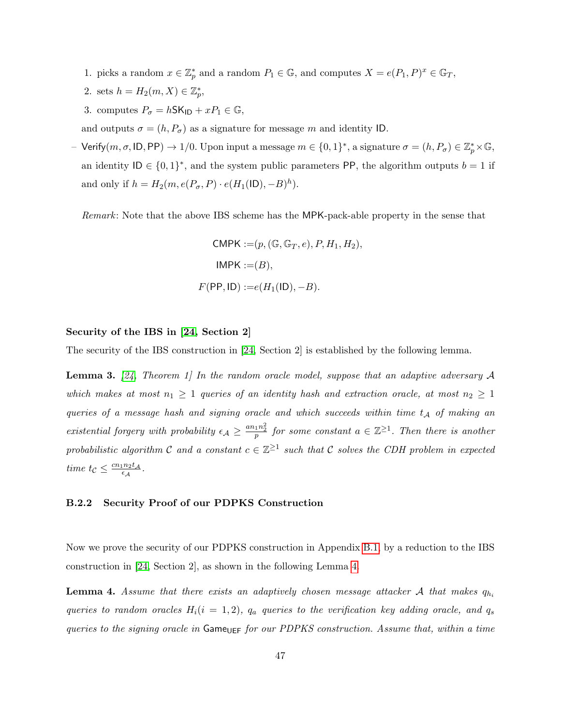- 1. picks a random  $x \in \mathbb{Z}_p^*$  and a random  $P_1 \in \mathbb{G}$ , and computes  $X = e(P_1, P)^x \in \mathbb{G}_T$ ,
- 2. sets  $h = H_2(m, X) \in \mathbb{Z}_p^*$ ,
- 3. computes  $P_{\sigma} = h$ SK<sub>ID</sub> +  $xP_1 \in \mathbb{G}$ ,

and outputs  $\sigma = (h, P_{\sigma})$  as a signature for message m and identity ID.

 $-$  Verify $(m, \sigma, \text{ID}, \text{PP}) \rightarrow 1/0$ . Upon input a message  $m \in \{0, 1\}^*$ , a signature  $\sigma = (h, P_{\sigma}) \in \mathbb{Z}_p^* \times \mathbb{G}$ , an identity  $ID \in \{0,1\}^*$ , and the system public parameters PP, the algorithm outputs  $b = 1$  if and only if  $h = H_2(m, e(P_{\sigma}, P) \cdot e(H_1(|D), -B)^h)$ .

Remark: Note that the above IBS scheme has the MPK-pack-able property in the sense that

<span id="page-46-2"></span>
$$
\begin{aligned} \mathsf{CMPK} &:=\,(p, (\mathbb{G}, \mathbb{G}_T, e), P, H_1, H_2), \\ \mathsf{IMPK} &:=\,(B), \\ F(\mathsf{PP}, \mathsf{ID}) &:=\,e(H_1(\mathsf{ID}), -B). \end{aligned}
$$

## Security of the IBS in [\[24,](#page-40-14) Section 2]

The security of the IBS construction in [\[24,](#page-40-14) Section 2] is established by the following lemma.

**Lemma 3.** [\[24,](#page-40-14) Theorem 1] In the random oracle model, suppose that an adaptive adversary A which makes at most  $n_1 \geq 1$  queries of an identity hash and extraction oracle, at most  $n_2 \geq 1$ queries of a message hash and signing oracle and which succeeds within time  $t_A$  of making an existential forgery with probability  $\epsilon_A \geq \frac{a n_1 n_2^2}{p}$  for some constant  $a \in \mathbb{Z}^{\geq 1}$ . Then there is another probabilistic algorithm C and a constant  $c \in \mathbb{Z}^{\geq 1}$  such that C solves the CDH problem in expected time  $t_{\mathcal{C}} \leq \frac{cn_1n_2t_{\mathcal{A}}}{\epsilon_A}$  $\frac{\ln_2 t_{\mathcal{A}}}{\epsilon_{\mathcal{A}}}$  .

## <span id="page-46-0"></span>B.2.2 Security Proof of our PDPKS Construction

<span id="page-46-1"></span>Now we prove the security of our PDPKS construction in Appendix [B.1,](#page-43-1) by a reduction to the IBS construction in [\[24,](#page-40-14) Section 2], as shown in the following Lemma [4.](#page-46-1)

**Lemma 4.** Assume that there exists an adaptively chosen message attacker A that makes  $q_{h_i}$ queries to random oracles  $H_i(i = 1, 2)$ ,  $q_a$  queries to the verification key adding oracle, and  $q_s$ queries to the signing oracle in  $Game_{UEF}$  for our PDPKS construction. Assume that, within a time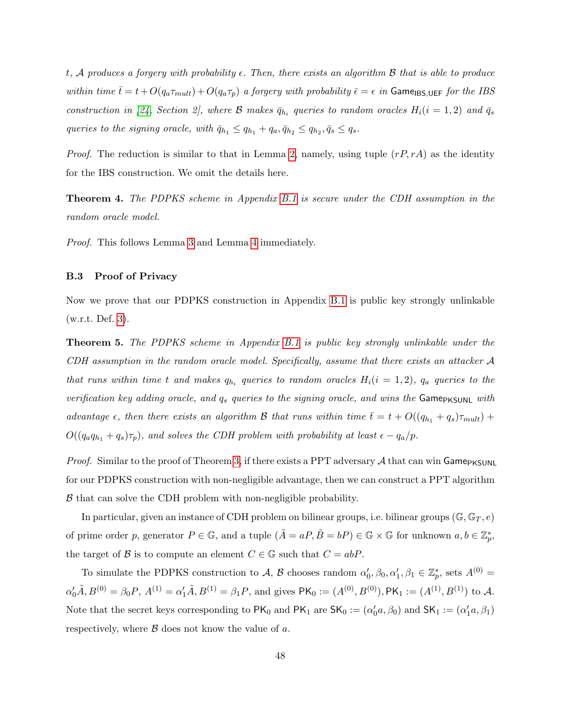t, A produces a forgery with probability  $\epsilon$ . Then, there exists an algorithm B that is able to produce within time  $\bar{t}= t+O(q_a\tau_{mult}) +O(q_a\tau_p)$  a forgery with probability  $\bar{\epsilon} = \epsilon$  in Game<sub>IBS,UEF</sub> for the IBS construction in [\[24,](#page-40-14) Section 2], where  $\mathcal{B}$  makes  $\bar{q}_{h_i}$  queries to random oracles  $H_i(i = 1, 2)$  and  $\bar{q}_s$ queries to the signing oracle, with  $\bar{q}_{h_1} \le q_{h_1} + q_a, \bar{q}_{h_2} \le q_{h_2}, \bar{q}_s \le q_s$ .

*Proof.* The reduction is similar to that in Lemma [2,](#page-29-0) namely, using tuple  $(rP, rA)$  as the identity for the IBS construction. We omit the details here.

Theorem 4. The PDPKS scheme in Appendix [B.1](#page-43-1) is secure under the CDH assumption in the random oracle model.

Proof. This follows Lemma [3](#page-46-2) and Lemma [4](#page-46-1) immediately.

## B.3 Proof of Privacy

Now we prove that our PDPKS construction in Appendix [B.1](#page-43-1) is public key strongly unlinkable (w.r.t. Def. [3\)](#page-21-0).

**Theorem 5.** The PDPKS scheme in Appendix [B.1](#page-43-1) is public key strongly unlinkable under the CDH assumption in the random oracle model. Specifically, assume that there exists an attacker A that runs within time t and makes  $q_{h_i}$  queries to random oracles  $H_i(i = 1, 2)$ ,  $q_a$  queries to the verification key adding oracle, and  $q_s$  queries to the signing oracle, and wins the Game<sub>PKSUNL</sub> with advantage  $\epsilon$ , then there exists an algorithm B that runs within time  $\bar{t} = t + O((q_{h_1} + q_s)\tau_{mult}) +$  $O((q_aq_{h_1} + q_s)\tau_p)$ , and solves the CDH problem with probability at least  $\epsilon - q_a/p$ .

*Proof.* Similar to the proof of Theorem [3,](#page-32-1) if there exists a PPT adversary  $A$  that can win Game<sub>PKSUNL</sub> for our PDPKS construction with non-negligible advantage, then we can construct a PPT algorithm B that can solve the CDH problem with non-negligible probability.

In particular, given an instance of CDH problem on bilinear groups, i.e. bilinear groups ( $\mathbb{G}, \mathbb{G}_T, e$ ) of prime order p, generator  $P \in \mathbb{G}$ , and a tuple  $(\tilde{A} = aP, \tilde{B} = bP) \in \mathbb{G} \times \mathbb{G}$  for unknown  $a, b \in \mathbb{Z}_p^*$ , the target of B is to compute an element  $C \in \mathbb{G}$  such that  $C = abP$ .

To simulate the PDPKS construction to A, B chooses random  $\alpha'_0, \beta_0, \alpha'_1, \beta_1 \in \mathbb{Z}_p^*$ , sets  $A^{(0)} =$  $\alpha'_0 \tilde{A}, B^{(0)} = \beta_0 P, A^{(1)} = \alpha'_1 \tilde{A}, B^{(1)} = \beta_1 P$ , and gives  $\mathsf{PK}_0 := (A^{(0)}, B^{(0)}), \mathsf{PK}_1 := (A^{(1)}, B^{(1)})$  to A. Note that the secret keys corresponding to  $PK_0$  and  $PK_1$  are  $SK_0 := (\alpha'_0 a, \beta_0)$  and  $SK_1 := (\alpha'_1 a, \beta_1)$ respectively, where  $\beta$  does not know the value of a.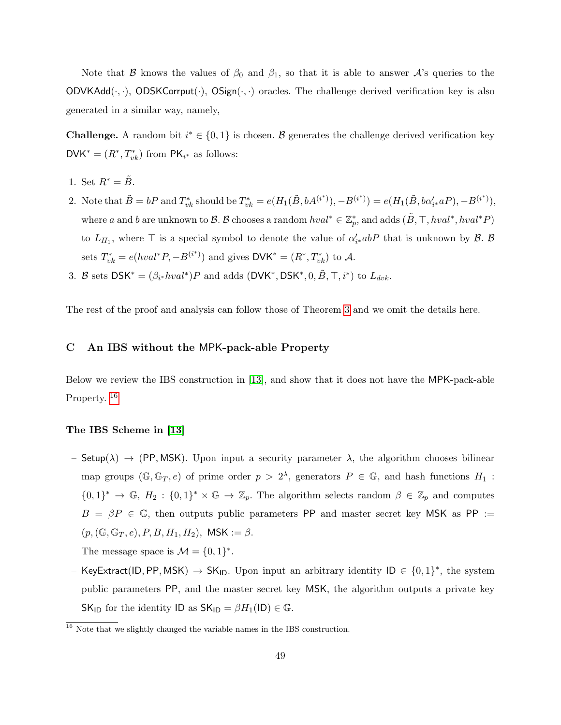Note that B knows the values of  $\beta_0$  and  $\beta_1$ , so that it is able to answer A's queries to the  $ODVKAdd(\cdot, \cdot)$ ,  $ODSKCorput(\cdot)$ ,  $OSign(\cdot, \cdot)$  oracles. The challenge derived verification key is also generated in a similar way, namely,

**Challenge.** A random bit  $i^* \in \{0,1\}$  is chosen. B generates the challenge derived verification key  $\mathsf{DVK}^* = (R^*, T^*_{vk})$  from  $\mathsf{PK}_{i^*}$  as follows:

- 1. Set  $R^* = \tilde{B}$ .
- 2. Note that  $\tilde{B} = bP$  and  $T_{vk}^*$  should be  $T_{vk}^* = e(H_1(\tilde{B}, bA^{(i^*)}), -B^{(i^*)}) = e(H_1(\tilde{B}, b\alpha'_{i^*}aP), -B^{(i^*)}),$ where a and b are unknown to B. B chooses a random  $hval^* \in \mathbb{Z}_p^*$ , and adds  $(\tilde{B}, \top, hval^*, hval^*P)$ to  $L_{H_1}$ , where  $\top$  is a special symbol to denote the value of  $\alpha'_{i*}abP$  that is unknown by  $\mathcal{B}$ .  $\mathcal{B}$ sets  $T_{vk}^* = e(hval^*P, -B^{(i^*)})$  and gives  $\mathsf{DVK}^* = (R^*, T_{vk}^*)$  to A.
- 3. B sets  $DSK^* = (\beta_{i^*}hval^*)P$  and adds  $(DVK^*,DSK^*, 0, \tilde{B}, \top, i^*)$  to  $L_{dvk}$ .

The rest of the proof and analysis can follow those of Theorem [3](#page-32-1) and we omit the details here.

## <span id="page-48-0"></span>C An IBS without the MPK-pack-able Property

Below we review the IBS construction in [\[13\]](#page-40-15), and show that it does not have the MPK-pack-able Property.<sup>[16](#page-48-1)</sup>

## The IBS Scheme in [\[13\]](#page-40-15)

– Setup( $\lambda$ )  $\rightarrow$  (PP, MSK). Upon input a security parameter  $\lambda$ , the algorithm chooses bilinear map groups  $(\mathbb{G}, \mathbb{G}_T, e)$  of prime order  $p > 2^{\lambda}$ , generators  $P \in \mathbb{G}$ , and hash functions  $H_1$ :  $\{0,1\}^* \to \mathbb{G}, H_2: \{0,1\}^* \times \mathbb{G} \to \mathbb{Z}_p$ . The algorithm selects random  $\beta \in \mathbb{Z}_p$  and computes  $B = \beta P \in \mathbb{G}$ , then outputs public parameters PP and master secret key MSK as PP :=  $(p,(\mathbb{G},\mathbb{G}_T,e),P,B,H_1,H_2), \text{ MSK} := \beta.$ 

The message space is  $\mathcal{M} = \{0, 1\}^*$ .

- KeyExtract(ID, PP, MSK)  $\rightarrow$  SK<sub>ID</sub>. Upon input an arbitrary identity ID  $\in \{0,1\}^*$ , the system public parameters PP, and the master secret key MSK, the algorithm outputs a private key SK<sub>ID</sub> for the identity ID as  $SK_{ID} = \beta H_1(ID) \in \mathbb{G}$ .

<span id="page-48-1"></span><sup>&</sup>lt;sup>16</sup> Note that we slightly changed the variable names in the IBS construction.